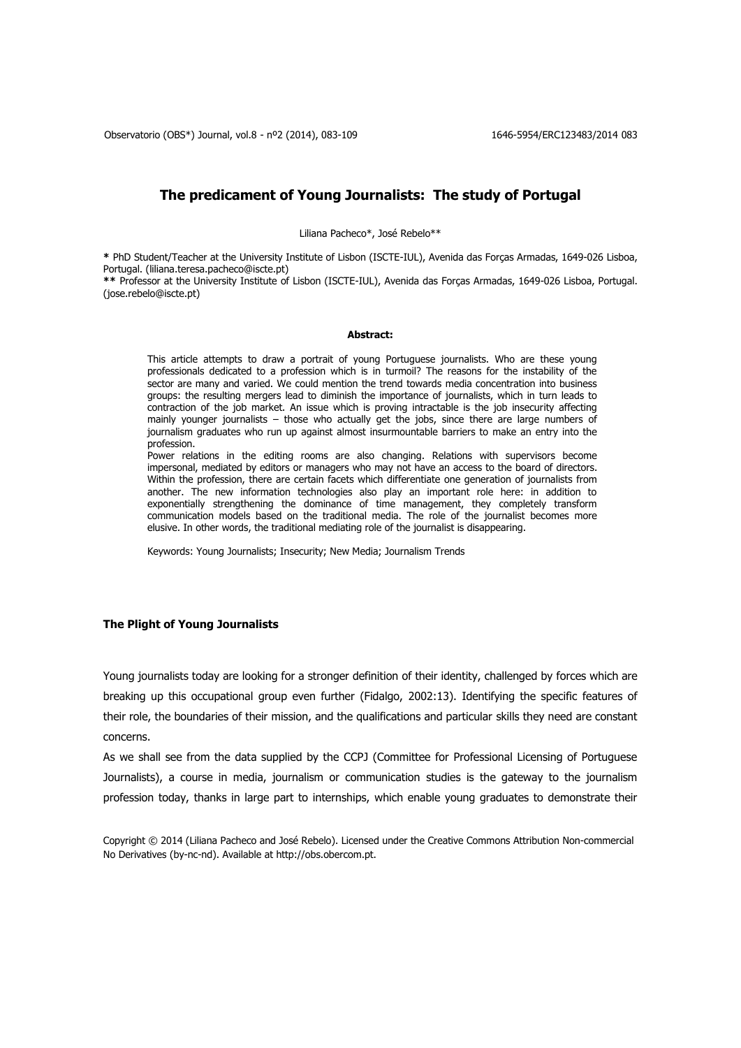# **The predicament of Young Journalists: The study of Portugal**

Liliana Pacheco\*, José Rebelo\*\*

**\*** PhD Student/Teacher at the University Institute of Lisbon (ISCTE-IUL), Avenida das Forças Armadas, 1649-026 Lisboa, Portugal. [\(liliana.teresa.pacheco@iscte.pt\)](mailto:lilianaribeiropacheco@gmail.com,%20liliana.teresa.pacheco@iscte.pt)

**\*\*** Professor at the University Institute of Lisbon (ISCTE-IUL), Avenida das Forças Armadas, 1649-026 Lisboa, Portugal. [\(jose.rebelo@iscte.pt\)](mailto:jose.rebelo@iscte.pt)

#### **Abstract:**

This article attempts to draw a portrait of young Portuguese journalists. Who are these young professionals dedicated to a profession which is in turmoil? The reasons for the instability of the sector are many and varied. We could mention the trend towards media concentration into business groups: the resulting mergers lead to diminish the importance of journalists, which in turn leads to contraction of the job market. An issue which is proving intractable is the job insecurity affecting mainly younger journalists – those who actually get the jobs, since there are large numbers of journalism graduates who run up against almost insurmountable barriers to make an entry into the profession.

Power relations in the editing rooms are also changing. Relations with supervisors become impersonal, mediated by editors or managers who may not have an access to the board of directors. Within the profession, there are certain facets which differentiate one generation of journalists from another. The new information technologies also play an important role here: in addition to exponentially strengthening the dominance of time management, they completely transform communication models based on the traditional media. The role of the journalist becomes more elusive. In other words, the traditional mediating role of the journalist is disappearing.

Keywords: Young Journalists; Insecurity; New Media; Journalism Trends

## **The Plight of Young Journalists**

Young journalists today are looking for a stronger definition of their identity, challenged by forces which are breaking up this occupational group even further (Fidalgo, 2002:13). Identifying the specific features of their role, the boundaries of their mission, and the qualifications and particular skills they need are constant concerns.

As we shall see from the data supplied by the CCPJ (Committee for Professional Licensing of Portuguese Journalists), a course in media, journalism or communication studies is the gateway to the journalism profession today, thanks in large part to internships, which enable young graduates to demonstrate their

Copyright © 2014 (Liliana Pacheco and José Rebelo). Licensed under the Creative Commons Attribution Non-commercial No Derivatives (by-nc-nd). Available at http://obs.obercom.pt.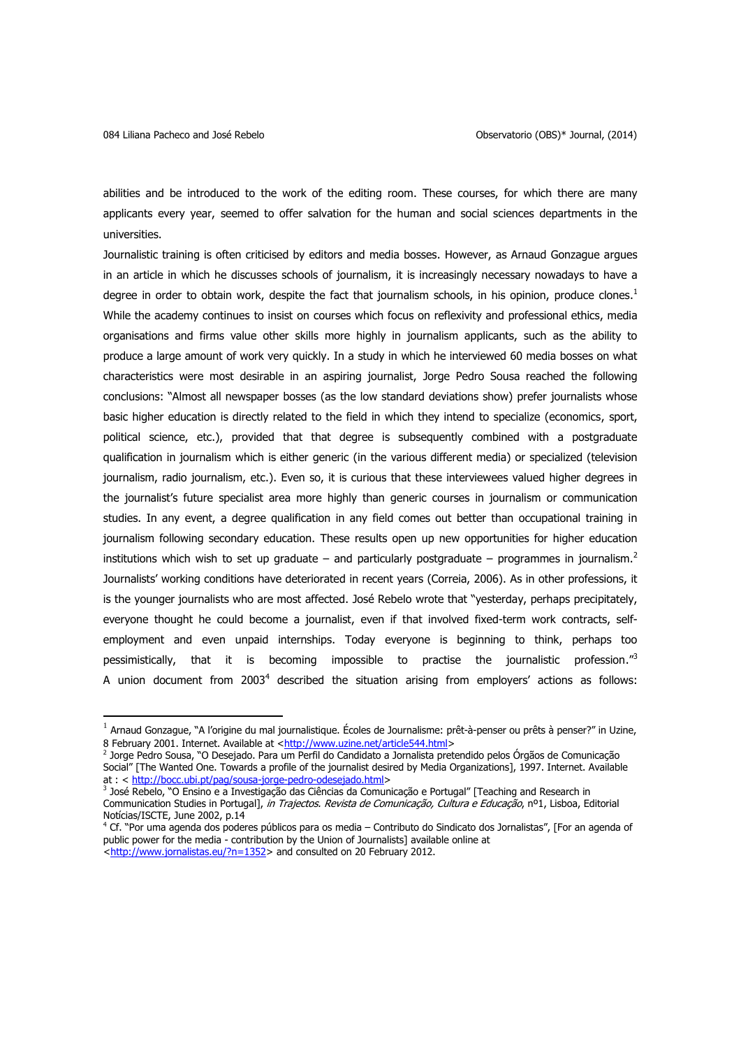abilities and be introduced to the work of the editing room. These courses, for which there are many applicants every year, seemed to offer salvation for the human and social sciences departments in the universities.

Journalistic training is often criticised by editors and media bosses. However, as Arnaud Gonzague argues in an article in which he discusses schools of journalism, it is increasingly necessary nowadays to have a degree in order to obtain work, despite the fact that journalism schools, in his opinion, produce clones.<sup>1</sup> While the academy continues to insist on courses which focus on reflexivity and professional ethics, media organisations and firms value other skills more highly in journalism applicants, such as the ability to produce a large amount of work very quickly. In a study in which he interviewed 60 media bosses on what characteristics were most desirable in an aspiring journalist, Jorge Pedro Sousa reached the following conclusions: "Almost all newspaper bosses (as the low standard deviations show) prefer journalists whose basic higher education is directly related to the field in which they intend to specialize (economics, sport, political science, etc.), provided that that degree is subsequently combined with a postgraduate qualification in journalism which is either generic (in the various different media) or specialized (television journalism, radio journalism, etc.). Even so, it is curious that these interviewees valued higher degrees in the journalist's future specialist area more highly than generic courses in journalism or communication studies. In any event, a degree qualification in any field comes out better than occupational training in journalism following secondary education. These results open up new opportunities for higher education institutions which wish to set up graduate  $-$  and particularly postgraduate  $-$  programmes in journalism.<sup>2</sup> Journalists' working conditions have deteriorated in recent years (Correia, 2006). As in other professions, it is the younger journalists who are most affected. José Rebelo wrote that "yesterday, perhaps precipitately, everyone thought he could become a journalist, even if that involved fixed-term work contracts, selfemployment and even unpaid internships. Today everyone is beginning to think, perhaps too pessimistically, that it is becoming impossible to practise the journalistic profession."3 A union document from 2003<sup>4</sup> described the situation arising from employers' actions as follows:

 $\overline{\phantom{a}}$ 

 $^1$  Arnaud Gonzague, ``A l'origine du mal journalistique. Écoles de Journalisme: prêt-à-penser ou prêts à penser?" in Uzine, 8 February 2001. Internet. Available at [<http://www.uzine.net/article544.html>](http://www.uzine.net/article544.html)

<sup>2</sup> Jorge Pedro Sousa, "O Desejado. Para um Perfil do Candidato a Jornalista pretendido pelos Órgãos de Comunicação Social" [The Wanted One. Towards a profile of the journalist desired by Media Organizations], 1997. Internet. Available at : < [http://bocc.ubi.pt/pag/sousa-jorge-pedro-odesejado.html>](http://bocc.ubi.pt/pag/sousa-jorge-pedro-odesejado.html)

<sup>3</sup> José Rebelo, "O Ensino e a Investigação das Ciências da Comunicação e Portugal" [Teaching and Research in Communication Studies in Portugal], in Trajectos. Revista de Comunicação, Cultura e Educação, nº1, Lisboa, Editorial Notícias/ISCTE, June 2002, p.14

<sup>4</sup> Cf. "Por uma agenda dos poderes públicos para os media – Contributo do Sindicato dos Jornalistas", [For an agenda of public power for the media - contribution by the Union of Journalists] available online at [<http://www.jornalistas.eu/?n=1352>](http://www.jornalistas.eu/?n=1352) and consulted on 20 February 2012.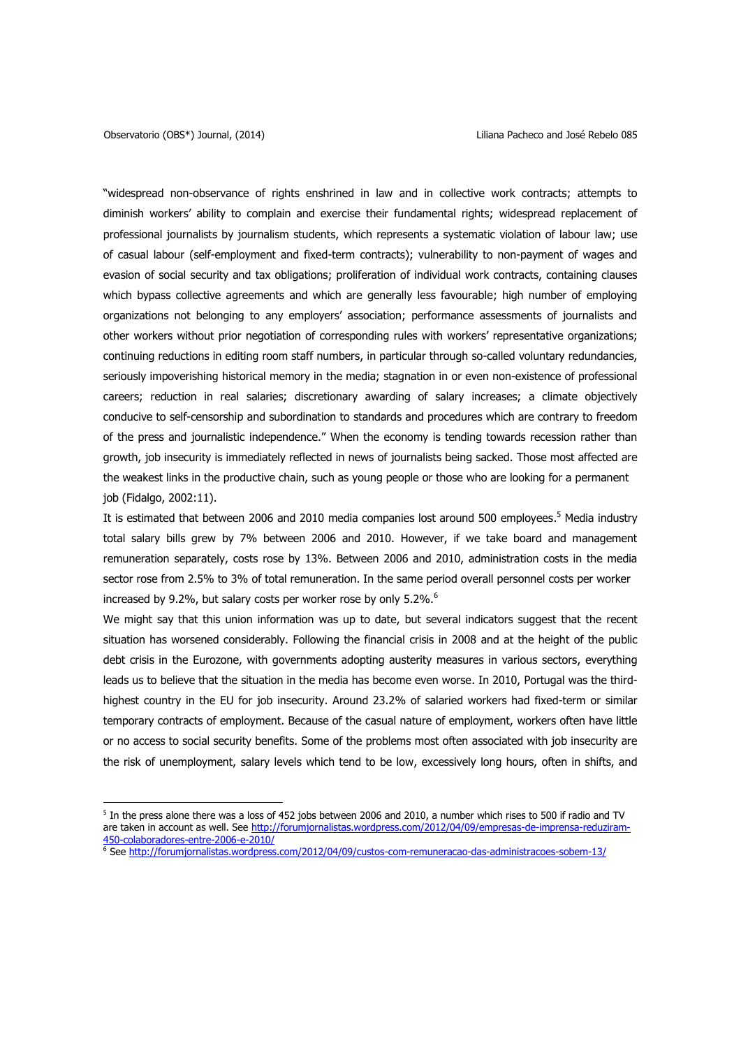$\overline{\phantom{a}}$ 

"widespread non-observance of rights enshrined in law and in collective work contracts; attempts to diminish workers' ability to complain and exercise their fundamental rights; widespread replacement of professional journalists by journalism students, which represents a systematic violation of labour law; use of casual labour (self-employment and fixed-term contracts); vulnerability to non-payment of wages and evasion of social security and tax obligations; proliferation of individual work contracts, containing clauses which bypass collective agreements and which are generally less favourable; high number of employing organizations not belonging to any employers' association; performance assessments of journalists and other workers without prior negotiation of corresponding rules with workers' representative organizations; continuing reductions in editing room staff numbers, in particular through so-called voluntary redundancies, seriously impoverishing historical memory in the media; stagnation in or even non-existence of professional careers; reduction in real salaries; discretionary awarding of salary increases; a climate objectively conducive to self-censorship and subordination to standards and procedures which are contrary to freedom of the press and journalistic independence." When the economy is tending towards recession rather than growth, job insecurity is immediately reflected in news of journalists being sacked. Those most affected are the weakest links in the productive chain, such as young people or those who are looking for a permanent job (Fidalgo, 2002:11).

It is estimated that between 2006 and 2010 media companies lost around 500 employees.<sup>5</sup> Media industry total salary bills grew by 7% between 2006 and 2010. However, if we take board and management remuneration separately, costs rose by 13%. Between 2006 and 2010, administration costs in the media sector rose from 2.5% to 3% of total remuneration. In the same period overall personnel costs per worker increased by 9.2%, but salary costs per worker rose by only 5.2%.<sup>6</sup>

We might say that this union information was up to date, but several indicators suggest that the recent situation has worsened considerably. Following the financial crisis in 2008 and at the height of the public debt crisis in the Eurozone, with governments adopting austerity measures in various sectors, everything leads us to believe that the situation in the media has become even worse. In 2010, Portugal was the thirdhighest country in the EU for job insecurity. Around 23.2% of salaried workers had fixed-term or similar temporary contracts of employment. Because of the casual nature of employment, workers often have little or no access to social security benefits. Some of the problems most often associated with job insecurity are the risk of unemployment, salary levels which tend to be low, excessively long hours, often in shifts, and

 $^5$  In the press alone there was a loss of 452 jobs between 2006 and 2010, a number which rises to 500 if radio and TV are taken in account as well. See [http://forumjornalistas.wordpress.com/2012/04/09/empresas-de-imprensa-reduziram-](http://forumjornalistas.wordpress.com/2012/04/09/empresas-de-imprensa-reduziram-450-colaboradores-entre-2006-e-2010/)[450-colaboradores-entre-2006-e-2010/](http://forumjornalistas.wordpress.com/2012/04/09/empresas-de-imprensa-reduziram-450-colaboradores-entre-2006-e-2010/)

<sup>6</sup> Se[e http://forumjornalistas.wordpress.com/2012/04/09/custos-com-remuneracao-das-administracoes-sobem-13/](http://forumjornalistas.wordpress.com/2012/04/09/custos-com-remuneracao-das-administracoes-sobem-13/)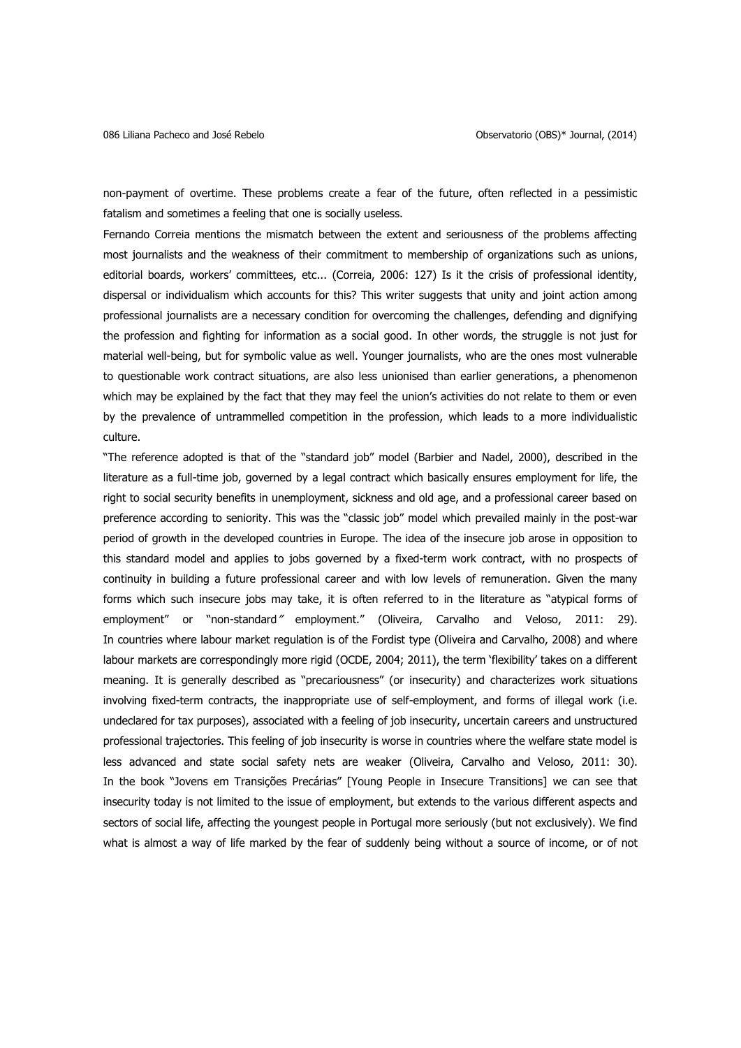non-payment of overtime. These problems create a fear of the future, often reflected in a pessimistic fatalism and sometimes a feeling that one is socially useless.

Fernando Correia mentions the mismatch between the extent and seriousness of the problems affecting most journalists and the weakness of their commitment to membership of organizations such as unions, editorial boards, workers' committees, etc... (Correia, 2006: 127) Is it the crisis of professional identity, dispersal or individualism which accounts for this? This writer suggests that unity and joint action among professional journalists are a necessary condition for overcoming the challenges, defending and dignifying the profession and fighting for information as a social good. In other words, the struggle is not just for material well-being, but for symbolic value as well. Younger journalists, who are the ones most vulnerable to questionable work contract situations, are also less unionised than earlier generations, a phenomenon which may be explained by the fact that they may feel the union's activities do not relate to them or even by the prevalence of untrammelled competition in the profession, which leads to a more individualistic culture.

"The reference adopted is that of the "standard job" model (Barbier and Nadel, 2000), described in the literature as a full-time job, governed by a legal contract which basically ensures employment for life, the right to social security benefits in unemployment, sickness and old age, and a professional career based on preference according to seniority. This was the "classic job" model which prevailed mainly in the post-war period of growth in the developed countries in Europe. The idea of the insecure job arose in opposition to this standard model and applies to jobs governed by a fixed-term work contract, with no prospects of continuity in building a future professional career and with low levels of remuneration. Given the many forms which such insecure jobs may take, it is often referred to in the literature as "atypical forms of employment" or "non-standard" employment." (Oliveira, Carvalho and Veloso, 2011: 29). In countries where labour market regulation is of the Fordist type (Oliveira and Carvalho, 2008) and where labour markets are correspondingly more rigid (OCDE, 2004; 2011), the term 'flexibility' takes on a different meaning. It is generally described as "precariousness" (or insecurity) and characterizes work situations involving fixed-term contracts, the inappropriate use of self-employment, and forms of illegal work (i.e. undeclared for tax purposes), associated with a feeling of job insecurity, uncertain careers and unstructured professional trajectories. This feeling of job insecurity is worse in countries where the welfare state model is less advanced and state social safety nets are weaker (Oliveira, Carvalho and Veloso, 2011: 30). In the book "Jovens em Transições Precárias" [Young People in Insecure Transitions] we can see that insecurity today is not limited to the issue of employment, but extends to the various different aspects and sectors of social life, affecting the youngest people in Portugal more seriously (but not exclusively). We find what is almost a way of life marked by the fear of suddenly being without a source of income, or of not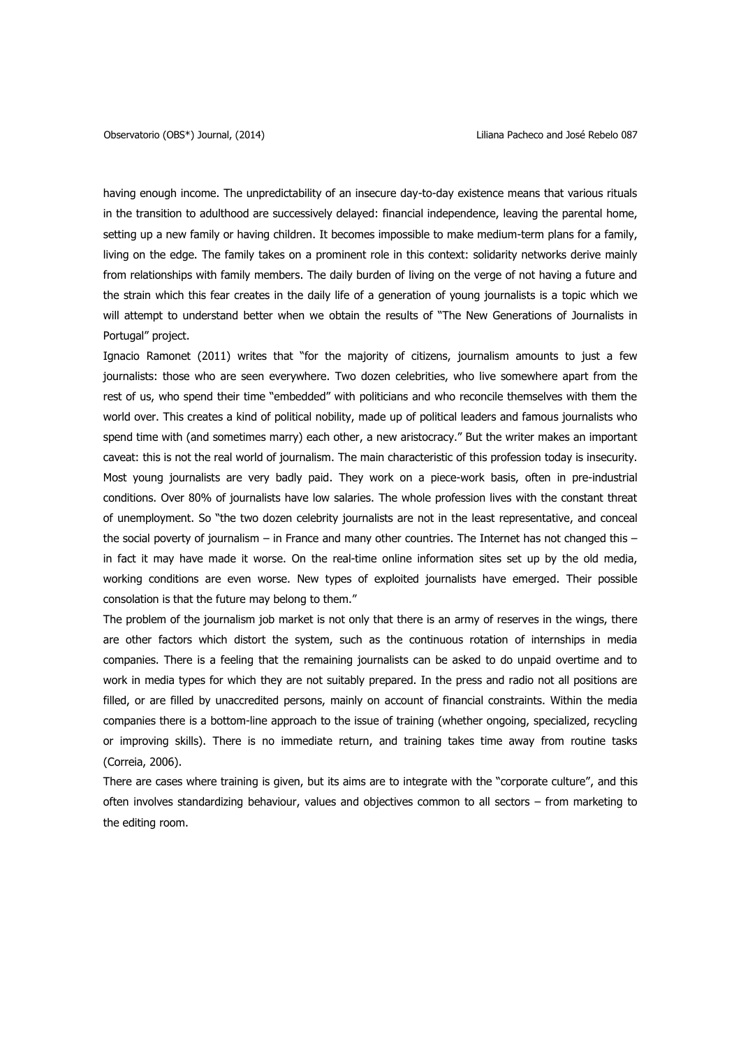having enough income. The unpredictability of an insecure day-to-day existence means that various rituals in the transition to adulthood are successively delayed: financial independence, leaving the parental home, setting up a new family or having children. It becomes impossible to make medium-term plans for a family, living on the edge. The family takes on a prominent role in this context: solidarity networks derive mainly from relationships with family members. The daily burden of living on the verge of not having a future and the strain which this fear creates in the daily life of a generation of young journalists is a topic which we will attempt to understand better when we obtain the results of "The New Generations of Journalists in Portugal" project.

Ignacio Ramonet (2011) writes that "for the majority of citizens, journalism amounts to just a few journalists: those who are seen everywhere. Two dozen celebrities, who live somewhere apart from the rest of us, who spend their time "embedded" with politicians and who reconcile themselves with them the world over. This creates a kind of political nobility, made up of political leaders and famous journalists who spend time with (and sometimes marry) each other, a new aristocracy." But the writer makes an important caveat: this is not the real world of journalism. The main characteristic of this profession today is insecurity. Most young journalists are very badly paid. They work on a piece-work basis, often in pre-industrial conditions. Over 80% of journalists have low salaries. The whole profession lives with the constant threat of unemployment. So "the two dozen celebrity journalists are not in the least representative, and conceal the social poverty of journalism – in France and many other countries. The Internet has not changed this – in fact it may have made it worse. On the real-time online information sites set up by the old media, working conditions are even worse. New types of exploited journalists have emerged. Their possible consolation is that the future may belong to them."

The problem of the journalism job market is not only that there is an army of reserves in the wings, there are other factors which distort the system, such as the continuous rotation of internships in media companies. There is a feeling that the remaining journalists can be asked to do unpaid overtime and to work in media types for which they are not suitably prepared. In the press and radio not all positions are filled, or are filled by unaccredited persons, mainly on account of financial constraints. Within the media companies there is a bottom-line approach to the issue of training (whether ongoing, specialized, recycling or improving skills). There is no immediate return, and training takes time away from routine tasks (Correia, 2006).

There are cases where training is given, but its aims are to integrate with the "corporate culture", and this often involves standardizing behaviour, values and objectives common to all sectors – from marketing to the editing room.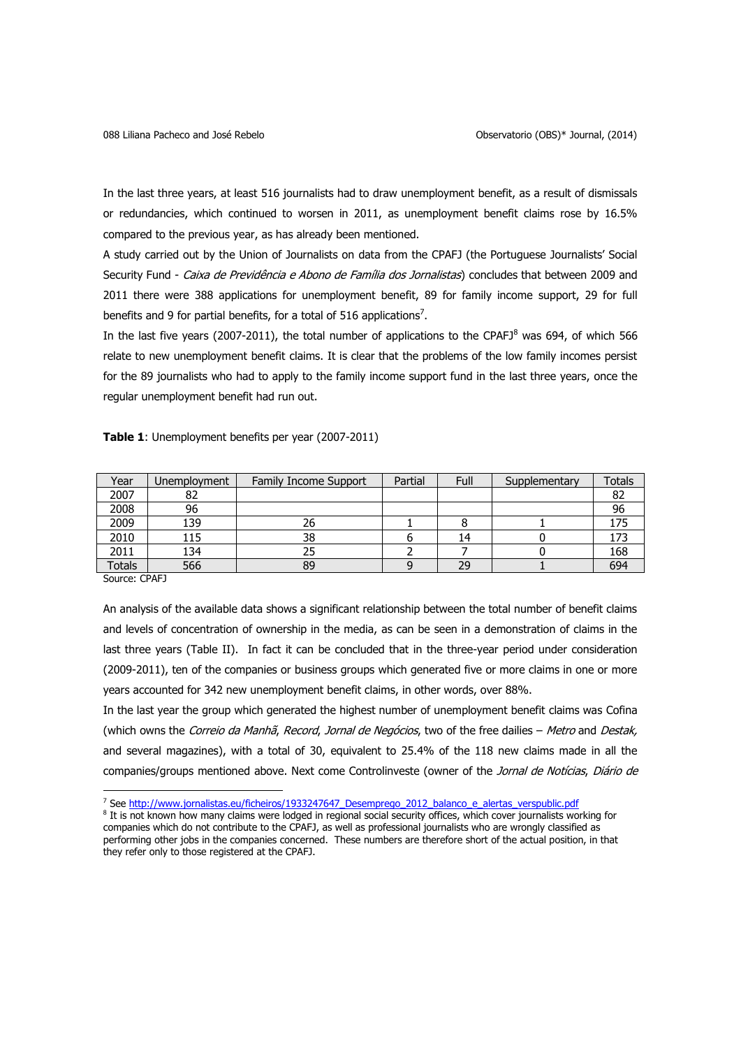In the last three years, at least 516 journalists had to draw unemployment benefit, as a result of dismissals or redundancies, which continued to worsen in 2011, as unemployment benefit claims rose by 16.5% compared to the previous year, as has already been mentioned.

A study carried out by the Union of Journalists on data from the CPAFJ (the Portuguese Journalists' Social Security Fund - Caixa de Previdência e Abono de Família dos Jornalistas) concludes that between 2009 and 2011 there were 388 applications for unemployment benefit, 89 for family income support, 29 for full benefits and 9 for partial benefits, for a total of 516 applications<sup>7</sup>.

In the last five years (2007-2011), the total number of applications to the CPAFJ $^8$  was 694, of which 566 relate to new unemployment benefit claims. It is clear that the problems of the low family incomes persist for the 89 journalists who had to apply to the family income support fund in the last three years, once the regular unemployment benefit had run out.

| Year   | Unemployment | Family Income Support | Partial | Full | Supplementary | Totals |
|--------|--------------|-----------------------|---------|------|---------------|--------|
| 2007   | 82           |                       |         |      |               | ٥z     |
| 2008   | 96           |                       |         |      |               | 96     |
| 2009   | 139          | 26                    |         |      |               | 175    |
| 2010   | 115          | 38                    |         | 14   |               | 173    |
| 2011   | 134          |                       |         |      |               | 168    |
| Totals | 566          | 89                    |         | 29   |               | 694    |

**Table 1**: Unemployment benefits per year (2007-2011)

Source: CPAFJ

 $\overline{a}$ 

In the last year the group which generated the highest number of unemployment benefit claims was Cofina (which owns the Correio da Manhã, Record, Jornal de Negócios, two of the free dailies - Metro and Destak, and several magazines), with a total of 30, equivalent to 25.4% of the 118 new claims made in all the companies/groups mentioned above. Next come Controlinveste (owner of the Jornal de Notícias, Diário de

An analysis of the available data shows a significant relationship between the total number of benefit claims and levels of concentration of ownership in the media, as can be seen in a demonstration of claims in the last three years (Table II). In fact it can be concluded that in the three-year period under consideration (2009-2011), ten of the companies or business groups which generated five or more claims in one or more years accounted for 342 new unemployment benefit claims, in other words, over 88%.

<sup>&</sup>lt;sup>7</sup> See [http://www.jornalistas.eu/ficheiros/1933247647\\_Desemprego\\_2012\\_balanco\\_e\\_alertas\\_verspublic.pdf](http://www.jornalistas.eu/ficheiros/1933247647_Desemprego_2012_balanco_e_alertas_verspublic.pdf)

<sup>&</sup>lt;sup>8</sup> It is not known how many claims were lodged in regional social security offices, which cover journalists working for companies which do not contribute to the CPAFJ, as well as professional journalists who are wrongly classified as performing other jobs in the companies concerned. These numbers are therefore short of the actual position, in that they refer only to those registered at the CPAFJ.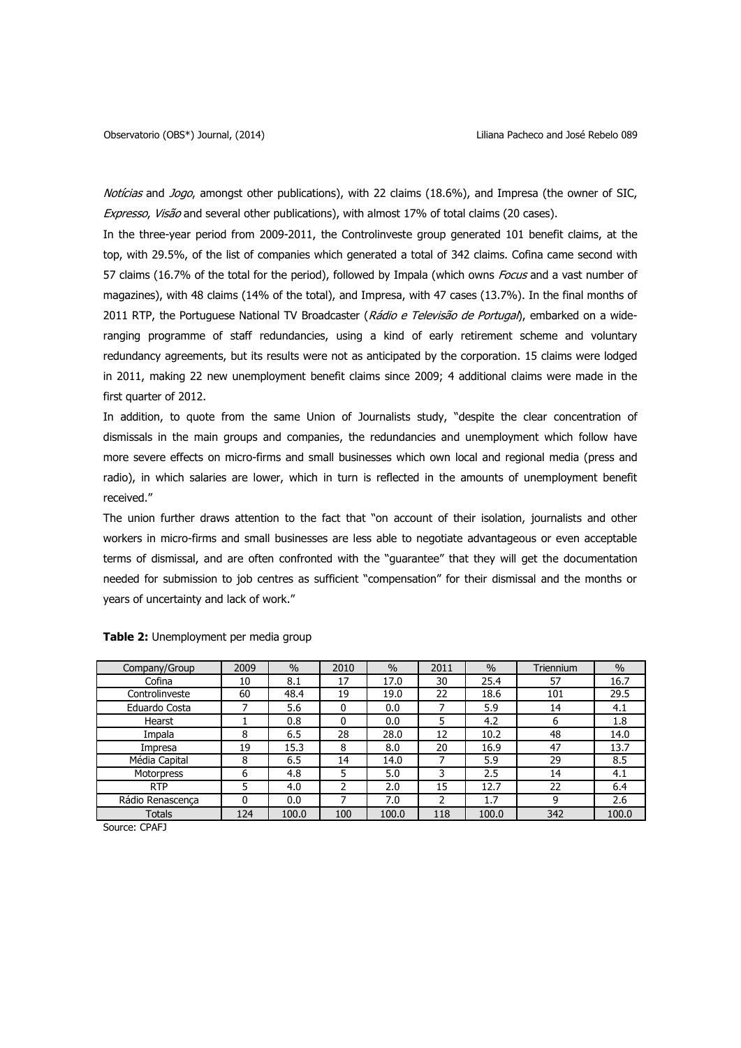Notícias and Jogo, amongst other publications), with 22 claims (18.6%), and Impresa (the owner of SIC, Expresso, Visão and several other publications), with almost 17% of total claims (20 cases).

In the three-year period from 2009-2011, the Controlinveste group generated 101 benefit claims, at the top, with 29.5%, of the list of companies which generated a total of 342 claims. Cofina came second with 57 claims (16.7% of the total for the period), followed by Impala (which owns Focus and a vast number of magazines), with 48 claims (14% of the total), and Impresa, with 47 cases (13.7%). In the final months of 2011 RTP, the Portuguese National TV Broadcaster (Rádio e Televisão de Portugal), embarked on a wideranging programme of staff redundancies, using a kind of early retirement scheme and voluntary redundancy agreements, but its results were not as anticipated by the corporation. 15 claims were lodged in 2011, making 22 new unemployment benefit claims since 2009; 4 additional claims were made in the first quarter of 2012.

In addition, to quote from the same Union of Journalists study, "despite the clear concentration of dismissals in the main groups and companies, the redundancies and unemployment which follow have more severe effects on micro-firms and small businesses which own local and regional media (press and radio), in which salaries are lower, which in turn is reflected in the amounts of unemployment benefit received."

The union further draws attention to the fact that "on account of their isolation, journalists and other workers in micro-firms and small businesses are less able to negotiate advantageous or even acceptable terms of dismissal, and are often confronted with the "guarantee" that they will get the documentation needed for submission to job centres as sufficient "compensation" for their dismissal and the months or years of uncertainty and lack of work."

| Company/Group    | 2009 | $\frac{0}{0}$ | 2010 | $\%$  | 2011 | $\frac{0}{0}$ | Triennium | $\frac{0}{0}$ |
|------------------|------|---------------|------|-------|------|---------------|-----------|---------------|
| Cofina           | 10   | 8.1           | 17   | 17.0  | 30   | 25.4          | 57        | 16.7          |
| Controlinveste   | 60   | 48.4          | 19   | 19.0  | 22   | 18.6          | 101       | 29.5          |
| Eduardo Costa    | 7    | 5.6           | 0    | 0.0   |      | 5.9           | 14        | 4.1           |
| Hearst           |      | 0.8           | 0    | 0.0   | 5    | 4.2           | 6         | 1.8           |
| Impala           | 8    | 6.5           | 28   | 28.0  | 12   | 10.2          | 48        | 14.0          |
| Impresa          | 19   | 15.3          | 8    | 8.0   | 20   | 16.9          | 47        | 13.7          |
| Média Capital    | 8    | 6.5           | 14   | 14.0  |      | 5.9           | 29        | 8.5           |
| Motorpress       | 6    | 4.8           | 5    | 5.0   | 3    | 2.5           | 14        | 4.1           |
| <b>RTP</b>       | 5    | 4.0           | 2    | 2.0   | 15   | 12.7          | 22        | 6.4           |
| Rádio Renascença | 0    | 0.0           |      | 7.0   |      | 1.7           | 9         | 2.6           |
| <b>Totals</b>    | 124  | 100.0         | 100  | 100.0 | 118  | 100.0         | 342       | 100.0         |

**Table 2:** Unemployment per media group

Source: CPAFJ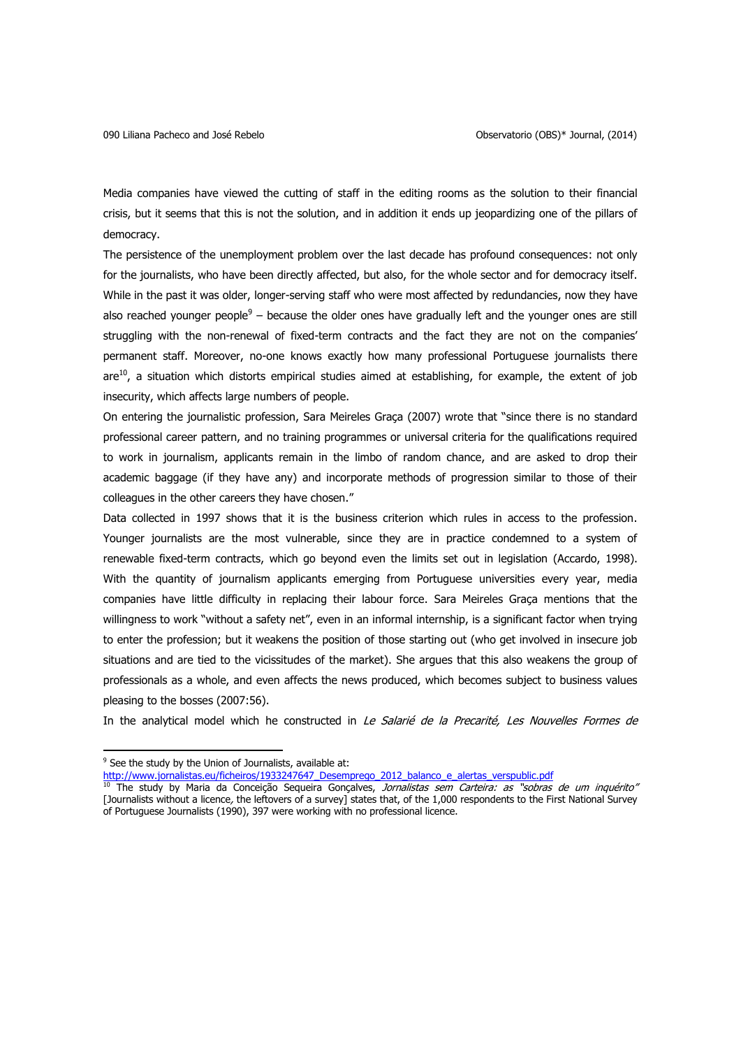Media companies have viewed the cutting of staff in the editing rooms as the solution to their financial crisis, but it seems that this is not the solution, and in addition it ends up jeopardizing one of the pillars of democracy.

The persistence of the unemployment problem over the last decade has profound consequences: not only for the journalists, who have been directly affected, but also, for the whole sector and for democracy itself. While in the past it was older, longer-serving staff who were most affected by redundancies, now they have also reached younger people<sup>9</sup> – because the older ones have gradually left and the younger ones are still struggling with the non-renewal of fixed-term contracts and the fact they are not on the companies' permanent staff. Moreover, no-one knows exactly how many professional Portuguese journalists there are<sup>10</sup>, a situation which distorts empirical studies aimed at establishing, for example, the extent of job insecurity, which affects large numbers of people.

On entering the journalistic profession, Sara Meireles Graça (2007) wrote that "since there is no standard professional career pattern, and no training programmes or universal criteria for the qualifications required to work in journalism, applicants remain in the limbo of random chance, and are asked to drop their academic baggage (if they have any) and incorporate methods of progression similar to those of their colleagues in the other careers they have chosen."

Data collected in 1997 shows that it is the business criterion which rules in access to the profession. Younger journalists are the most vulnerable, since they are in practice condemned to a system of renewable fixed-term contracts, which go beyond even the limits set out in legislation (Accardo, 1998). With the quantity of journalism applicants emerging from Portuguese universities every year, media companies have little difficulty in replacing their labour force. Sara Meireles Graça mentions that the willingness to work "without a safety net", even in an informal internship, is a significant factor when trying to enter the profession; but it weakens the position of those starting out (who get involved in insecure job situations and are tied to the vicissitudes of the market). She argues that this also weakens the group of professionals as a whole, and even affects the news produced, which becomes subject to business values pleasing to the bosses (2007:56).

In the analytical model which he constructed in Le Salarié de la Precarité, Les Nouvelles Formes de

 $\overline{a}$ 

<sup>&</sup>lt;sup>9</sup> See the study by the Union of Journalists, available at:

[http://www.jornalistas.eu/ficheiros/1933247647\\_Desemprego\\_2012\\_balanco\\_e\\_alertas\\_verspublic.pdf](http://www.jornalistas.eu/ficheiros/1933247647_Desemprego_2012_balanco_e_alertas_verspublic.pdf)

<sup>&</sup>lt;sup>10</sup> The study by Maria da Conceição Sequeira Gonçalves, *Jornalistas sem Carteira: as "sobras de um inquérito"* [Journalists without a licence, the leftovers of a survey] states that, of the 1,000 respondents to the First National Survey of Portuguese Journalists (1990), 397 were working with no professional licence.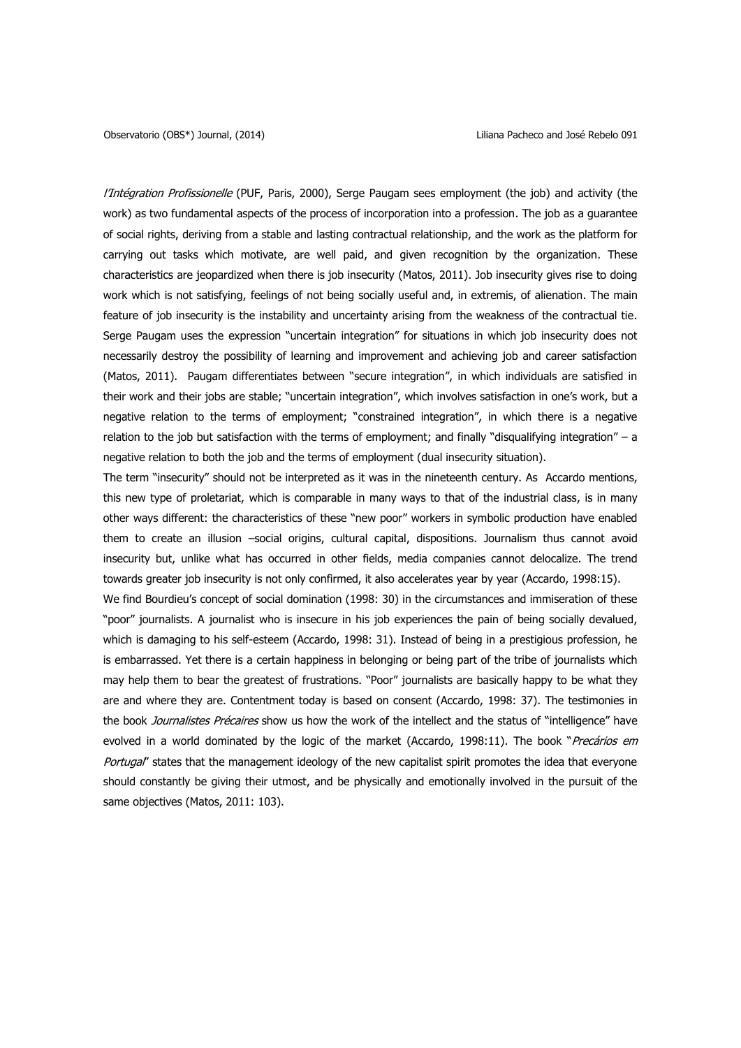l'Intégration Profissionelle (PUF, Paris, 2000), Serge Paugam sees employment (the job) and activity (the work) as two fundamental aspects of the process of incorporation into a profession. The job as a guarantee of social rights, deriving from a stable and lasting contractual relationship, and the work as the platform for carrying out tasks which motivate, are well paid, and given recognition by the organization. These characteristics are jeopardized when there is job insecurity (Matos, 2011). Job insecurity gives rise to doing work which is not satisfying, feelings of not being socially useful and, in extremis, of alienation. The main feature of job insecurity is the instability and uncertainty arising from the weakness of the contractual tie. Serge Paugam uses the expression "uncertain integration" for situations in which job insecurity does not necessarily destroy the possibility of learning and improvement and achieving job and career satisfaction (Matos, 2011). Paugam differentiates between "secure integration", in which individuals are satisfied in their work and their jobs are stable; "uncertain integration", which involves satisfaction in one's work, but a negative relation to the terms of employment; "constrained integration", in which there is a negative relation to the job but satisfaction with the terms of employment; and finally "disqualifying integration" – a negative relation to both the job and the terms of employment (dual insecurity situation).

The term "insecurity" should not be interpreted as it was in the nineteenth century. As Accardo mentions, this new type of proletariat, which is comparable in many ways to that of the industrial class, is in many other ways different: the characteristics of these "new poor" workers in symbolic production have enabled them to create an illusion –social origins, cultural capital, dispositions. Journalism thus cannot avoid insecurity but, unlike what has occurred in other fields, media companies cannot delocalize. The trend towards greater job insecurity is not only confirmed, it also accelerates year by year (Accardo, 1998:15).

We find Bourdieu's concept of social domination (1998: 30) in the circumstances and immiseration of these "poor" journalists. A journalist who is insecure in his job experiences the pain of being socially devalued, which is damaging to his self-esteem (Accardo, 1998: 31). Instead of being in a prestigious profession, he is embarrassed. Yet there is a certain happiness in belonging or being part of the tribe of journalists which may help them to bear the greatest of frustrations. "Poor" journalists are basically happy to be what they are and where they are. Contentment today is based on consent (Accardo, 1998: 37). The testimonies in the book Journalistes Précaires show us how the work of the intellect and the status of "intelligence" have evolved in a world dominated by the logic of the market (Accardo, 1998:11). The book "Precários em Portugal' states that the management ideology of the new capitalist spirit promotes the idea that everyone should constantly be giving their utmost, and be physically and emotionally involved in the pursuit of the same objectives (Matos, 2011: 103).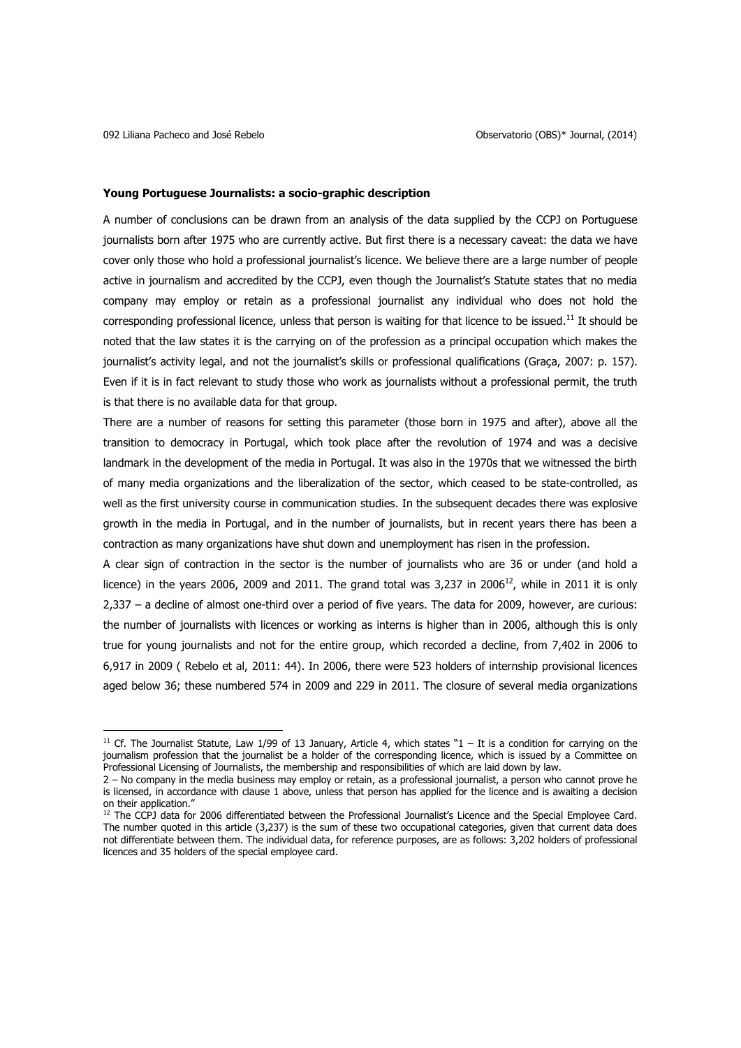$\overline{a}$ 

#### **Young Portuguese Journalists: a socio-graphic description**

A number of conclusions can be drawn from an analysis of the data supplied by the CCPJ on Portuguese journalists born after 1975 who are currently active. But first there is a necessary caveat: the data we have cover only those who hold a professional journalist's licence. We believe there are a large number of people active in journalism and accredited by the CCPJ, even though the Journalist's Statute states that no media company may employ or retain as a professional journalist any individual who does not hold the corresponding professional licence, unless that person is waiting for that licence to be issued.<sup>11</sup> It should be noted that the law states it is the carrying on of the profession as a principal occupation which makes the journalist's activity legal, and not the journalist's skills or professional qualifications (Graça, 2007: p. 157). Even if it is in fact relevant to study those who work as journalists without a professional permit, the truth is that there is no available data for that group.

There are a number of reasons for setting this parameter (those born in 1975 and after), above all the transition to democracy in Portugal, which took place after the revolution of 1974 and was a decisive landmark in the development of the media in Portugal. It was also in the 1970s that we witnessed the birth of many media organizations and the liberalization of the sector, which ceased to be state-controlled, as well as the first university course in communication studies. In the subsequent decades there was explosive growth in the media in Portugal, and in the number of journalists, but in recent years there has been a contraction as many organizations have shut down and unemployment has risen in the profession.

A clear sign of contraction in the sector is the number of journalists who are 36 or under (and hold a licence) in the years 2006, 2009 and 2011. The grand total was 3,237 in 2006<sup>12</sup>, while in 2011 it is only 2,337 – a decline of almost one-third over a period of five years. The data for 2009, however, are curious: the number of journalists with licences or working as interns is higher than in 2006, although this is only true for young journalists and not for the entire group, which recorded a decline, from 7,402 in 2006 to 6,917 in 2009 ( Rebelo et al, 2011: 44). In 2006, there were 523 holders of internship provisional licences aged below 36; these numbered 574 in 2009 and 229 in 2011. The closure of several media organizations

 $11$  Cf. The Journalist Statute, Law 1/99 of 13 January, Article 4, which states "1 – It is a condition for carrying on the journalism profession that the journalist be a holder of the corresponding licence, which is issued by a Committee on Professional Licensing of Journalists, the membership and responsibilities of which are laid down by law.

<sup>2</sup> – No company in the media business may employ or retain, as a professional journalist, a person who cannot prove he is licensed, in accordance with clause 1 above, unless that person has applied for the licence and is awaiting a decision on their application.'

<sup>&</sup>lt;sup>12</sup> The CCPJ data for 2006 differentiated between the Professional Journalist's Licence and the Special Employee Card. The number quoted in this article (3,237) is the sum of these two occupational categories, given that current data does not differentiate between them. The individual data, for reference purposes, are as follows: 3,202 holders of professional licences and 35 holders of the special employee card.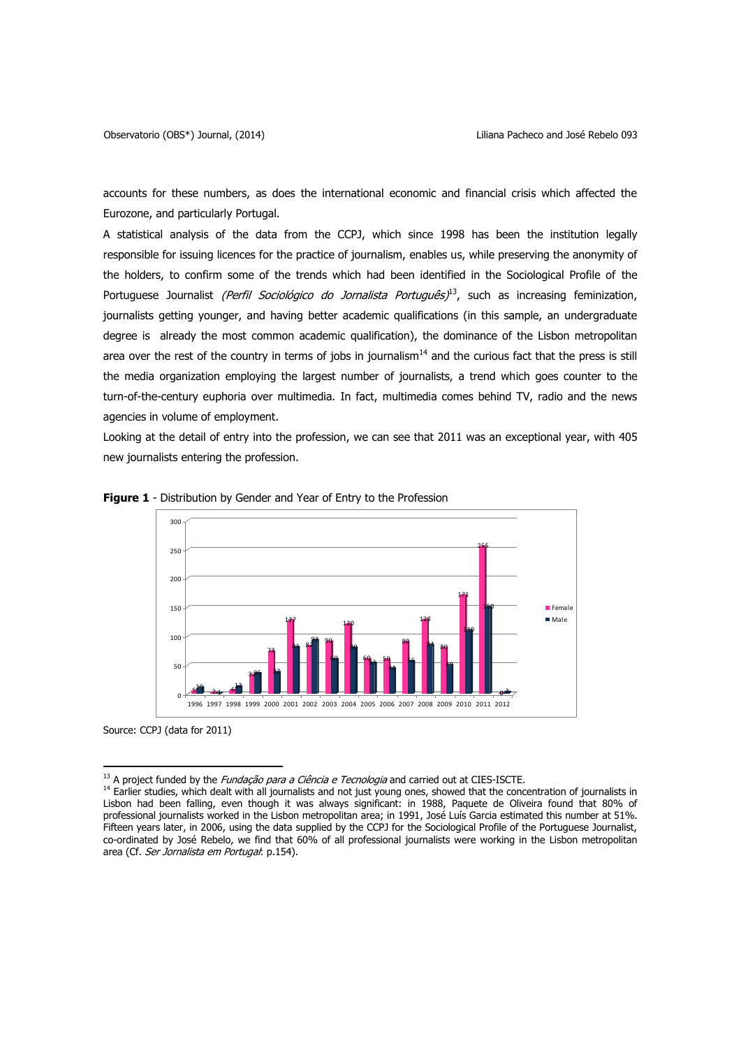accounts for these numbers, as does the international economic and financial crisis which affected the Eurozone, and particularly Portugal.

A statistical analysis of the data from the CCPJ, which since 1998 has been the institution legally responsible for issuing licences for the practice of journalism, enables us, while preserving the anonymity of the holders, to confirm some of the trends which had been identified in the Sociological Profile of the Portuguese Journalist *(Perfil Sociológico do Jornalista Português)*<sup>13</sup>, such as increasing feminization, journalists getting younger, and having better academic qualifications (in this sample, an undergraduate degree is already the most common academic qualification), the dominance of the Lisbon metropolitan area over the rest of the country in terms of jobs in journalism $<sup>14</sup>$  and the curious fact that the press is still</sup> the media organization employing the largest number of journalists, a trend which goes counter to the turn-of-the-century euphoria over multimedia. In fact, multimedia comes behind TV, radio and the news agencies in volume of employment.

Looking at the detail of entry into the profession, we can see that 2011 was an exceptional year, with 405 new journalists entering the profession.



**Figure 1** - Distribution by Gender and Year of Entry to the Profession

Source: CCPJ (data for 2011)

 $\overline{\phantom{a}}$ 

 $13$  A project funded by the *Fundação para a Ciência e Tecnologia* and carried out at CIES-ISCTE.

<sup>&</sup>lt;sup>14</sup> Earlier studies, which dealt with all journalists and not just young ones, showed that the concentration of journalists in Lisbon had been falling, even though it was always significant: in 1988, Paquete de Oliveira found that 80% of professional journalists worked in the Lisbon metropolitan area; in 1991, José Luís Garcia estimated this number at 51%. Fifteen years later, in 2006, using the data supplied by the CCPJ for the Sociological Profile of the Portuguese Journalist, co-ordinated by José Rebelo, we find that 60% of all professional journalists were working in the Lisbon metropolitan area (Cf. Ser Jornalista em Portugal: p.154).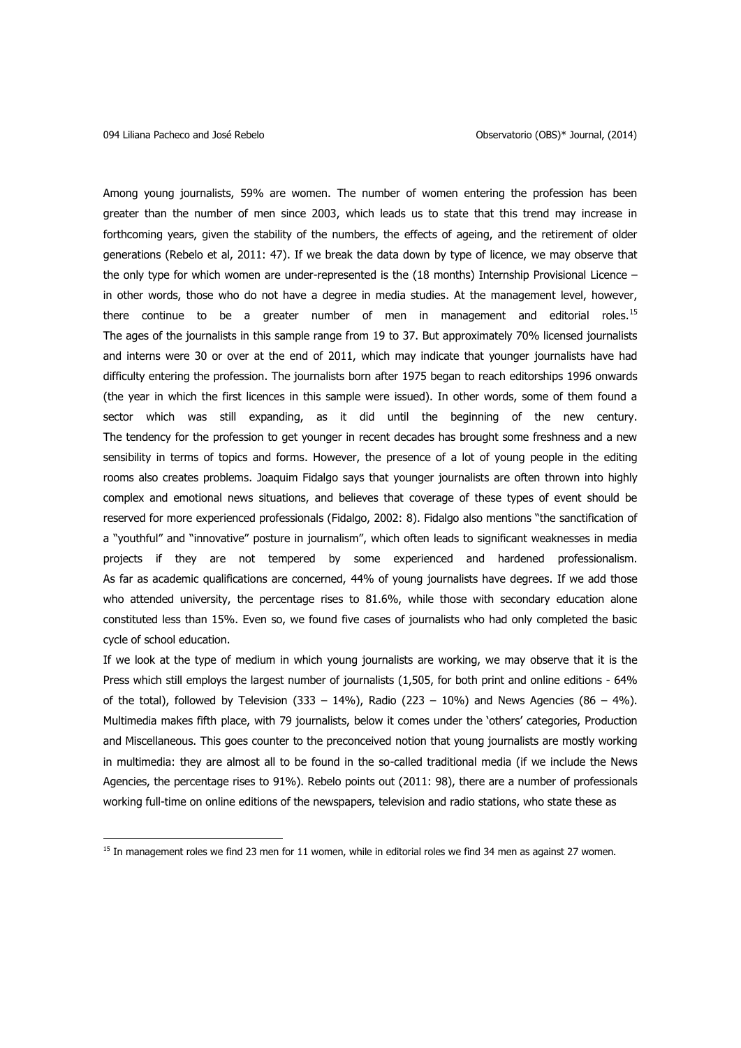$\overline{a}$ 

Among young journalists, 59% are women. The number of women entering the profession has been greater than the number of men since 2003, which leads us to state that this trend may increase in forthcoming years, given the stability of the numbers, the effects of ageing, and the retirement of older generations (Rebelo et al, 2011: 47). If we break the data down by type of licence, we may observe that the only type for which women are under-represented is the (18 months) Internship Provisional Licence – in other words, those who do not have a degree in media studies. At the management level, however, there continue to be a greater number of men in management and editorial roles.<sup>15</sup> The ages of the journalists in this sample range from 19 to 37. But approximately 70% licensed journalists and interns were 30 or over at the end of 2011, which may indicate that younger journalists have had difficulty entering the profession. The journalists born after 1975 began to reach editorships 1996 onwards (the year in which the first licences in this sample were issued). In other words, some of them found a sector which was still expanding, as it did until the beginning of the new century. The tendency for the profession to get younger in recent decades has brought some freshness and a new sensibility in terms of topics and forms. However, the presence of a lot of young people in the editing rooms also creates problems. Joaquim Fidalgo says that younger journalists are often thrown into highly complex and emotional news situations, and believes that coverage of these types of event should be reserved for more experienced professionals (Fidalgo, 2002: 8). Fidalgo also mentions "the sanctification of a "youthful" and "innovative" posture in journalism", which often leads to significant weaknesses in media projects if they are not tempered by some experienced and hardened professionalism. As far as academic qualifications are concerned, 44% of young journalists have degrees. If we add those who attended university, the percentage rises to 81.6%, while those with secondary education alone constituted less than 15%. Even so, we found five cases of journalists who had only completed the basic cycle of school education.

If we look at the type of medium in which young journalists are working, we may observe that it is the Press which still employs the largest number of journalists (1,505, for both print and online editions - 64% of the total), followed by Television (333 – 14%), Radio (223 – 10%) and News Agencies (86 – 4%). Multimedia makes fifth place, with 79 journalists, below it comes under the 'others' categories, Production and Miscellaneous. This goes counter to the preconceived notion that young journalists are mostly working in multimedia: they are almost all to be found in the so-called traditional media (if we include the News Agencies, the percentage rises to 91%). Rebelo points out (2011: 98), there are a number of professionals working full-time on online editions of the newspapers, television and radio stations, who state these as

<sup>&</sup>lt;sup>15</sup> In management roles we find 23 men for 11 women, while in editorial roles we find 34 men as against 27 women.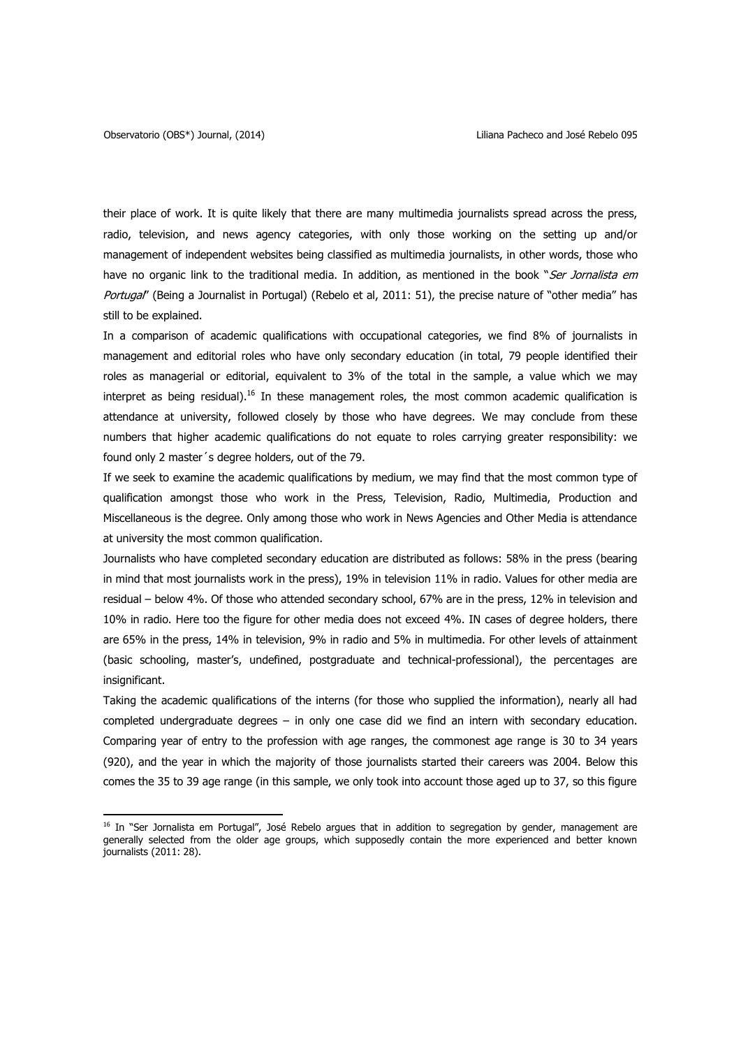$\overline{\phantom{a}}$ 

their place of work. It is quite likely that there are many multimedia journalists spread across the press, radio, television, and news agency categories, with only those working on the setting up and/or management of independent websites being classified as multimedia journalists, in other words, those who have no organic link to the traditional media. In addition, as mentioned in the book "Ser Jornalista em Portugal' (Being a Journalist in Portugal) (Rebelo et al, 2011: 51), the precise nature of "other media" has still to be explained.

In a comparison of academic qualifications with occupational categories, we find 8% of journalists in management and editorial roles who have only secondary education (in total, 79 people identified their roles as managerial or editorial, equivalent to 3% of the total in the sample, a value which we may interpret as being residual).<sup>16</sup> In these management roles, the most common academic qualification is attendance at university, followed closely by those who have degrees. We may conclude from these numbers that higher academic qualifications do not equate to roles carrying greater responsibility: we found only 2 master´s degree holders, out of the 79.

If we seek to examine the academic qualifications by medium, we may find that the most common type of qualification amongst those who work in the Press, Television, Radio, Multimedia, Production and Miscellaneous is the degree. Only among those who work in News Agencies and Other Media is attendance at university the most common qualification.

Journalists who have completed secondary education are distributed as follows: 58% in the press (bearing in mind that most journalists work in the press), 19% in television 11% in radio. Values for other media are residual – below 4%. Of those who attended secondary school, 67% are in the press, 12% in television and 10% in radio. Here too the figure for other media does not exceed 4%. IN cases of degree holders, there are 65% in the press, 14% in television, 9% in radio and 5% in multimedia. For other levels of attainment (basic schooling, master's, undefined, postgraduate and technical-professional), the percentages are insignificant.

Taking the academic qualifications of the interns (for those who supplied the information), nearly all had completed undergraduate degrees – in only one case did we find an intern with secondary education. Comparing year of entry to the profession with age ranges, the commonest age range is 30 to 34 years (920), and the year in which the majority of those journalists started their careers was 2004. Below this comes the 35 to 39 age range (in this sample, we only took into account those aged up to 37, so this figure

<sup>&</sup>lt;sup>16</sup> In "Ser Jornalista em Portugal", José Rebelo argues that in addition to segregation by gender, management are generally selected from the older age groups, which supposedly contain the more experienced and better known journalists (2011: 28).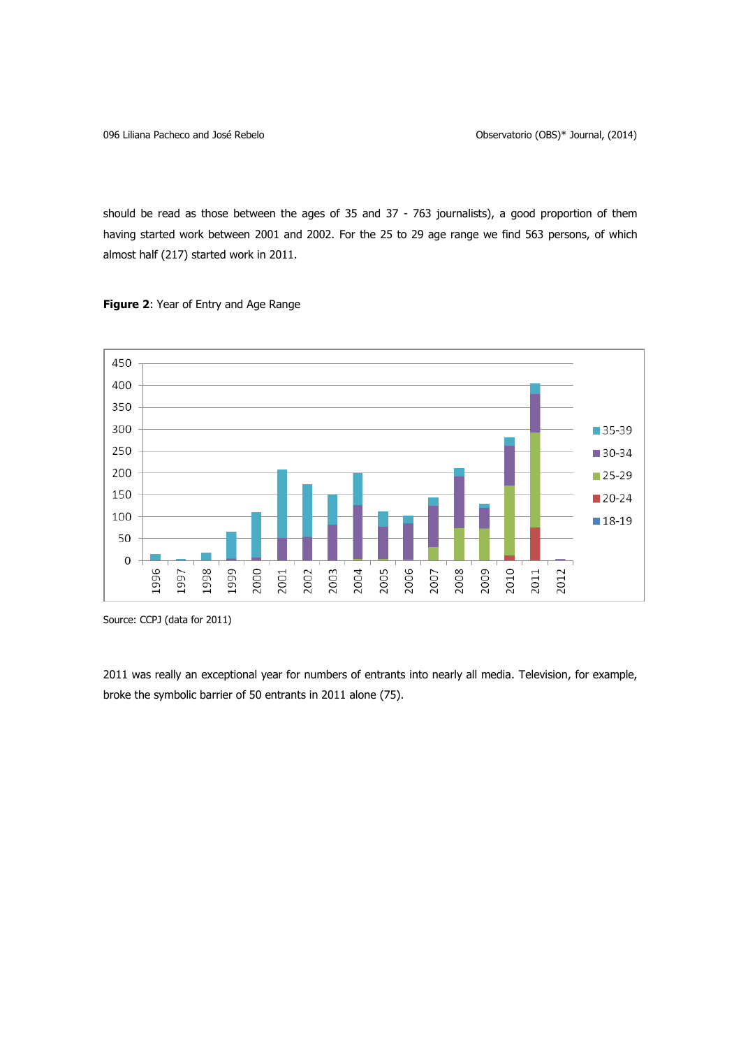should be read as those between the ages of 35 and 37 - 763 journalists), a good proportion of them having started work between 2001 and 2002. For the 25 to 29 age range we find 563 persons, of which almost half (217) started work in 2011.





Source: CCPJ (data for 2011)

2011 was really an exceptional year for numbers of entrants into nearly all media. Television, for example, broke the symbolic barrier of 50 entrants in 2011 alone (75).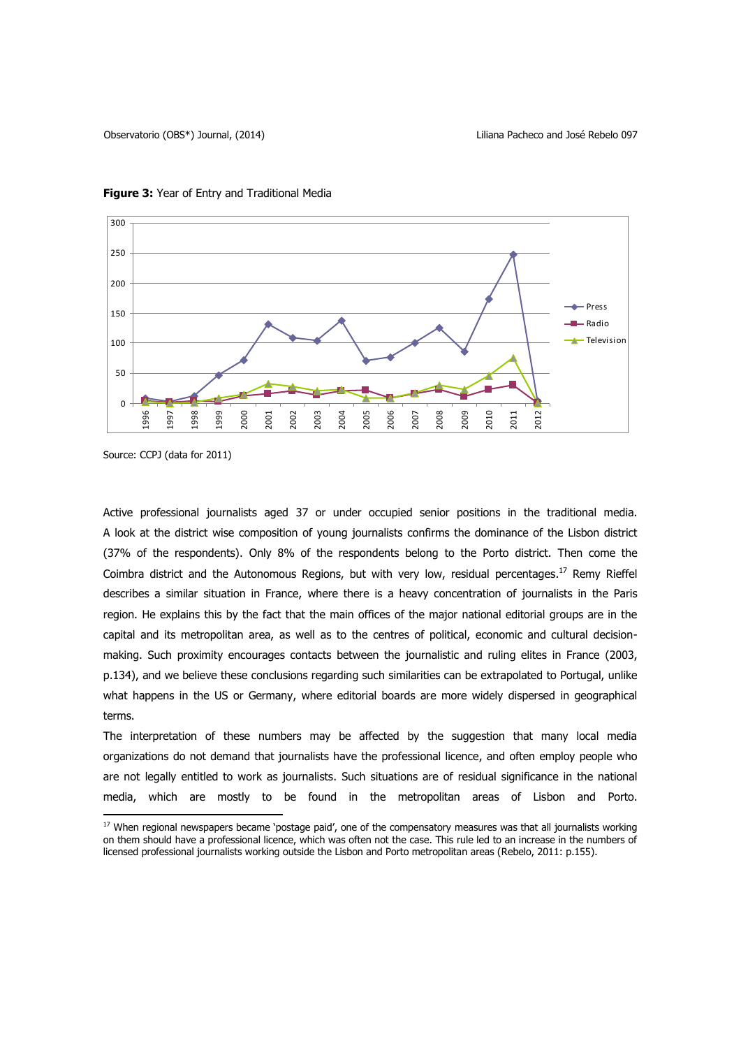

### **Figure 3:** Year of Entry and Traditional Media

 $\overline{\phantom{a}}$ 

Active professional journalists aged 37 or under occupied senior positions in the traditional media. A look at the district wise composition of young journalists confirms the dominance of the Lisbon district (37% of the respondents). Only 8% of the respondents belong to the Porto district. Then come the Coimbra district and the Autonomous Regions, but with very low, residual percentages.<sup>17</sup> Remy Rieffel describes a similar situation in France, where there is a heavy concentration of journalists in the Paris region. He explains this by the fact that the main offices of the major national editorial groups are in the capital and its metropolitan area, as well as to the centres of political, economic and cultural decisionmaking. Such proximity encourages contacts between the journalistic and ruling elites in France (2003, p.134), and we believe these conclusions regarding such similarities can be extrapolated to Portugal, unlike what happens in the US or Germany, where editorial boards are more widely dispersed in geographical terms.

The interpretation of these numbers may be affected by the suggestion that many local media organizations do not demand that journalists have the professional licence, and often employ people who are not legally entitled to work as journalists. Such situations are of residual significance in the national media, which are mostly to be found in the metropolitan areas of Lisbon and Porto.

Source: CCPJ (data for 2011)

<sup>&</sup>lt;sup>17</sup> When regional newspapers became 'postage paid', one of the compensatory measures was that all journalists working on them should have a professional licence, which was often not the case. This rule led to an increase in the numbers of licensed professional journalists working outside the Lisbon and Porto metropolitan areas (Rebelo, 2011: p.155).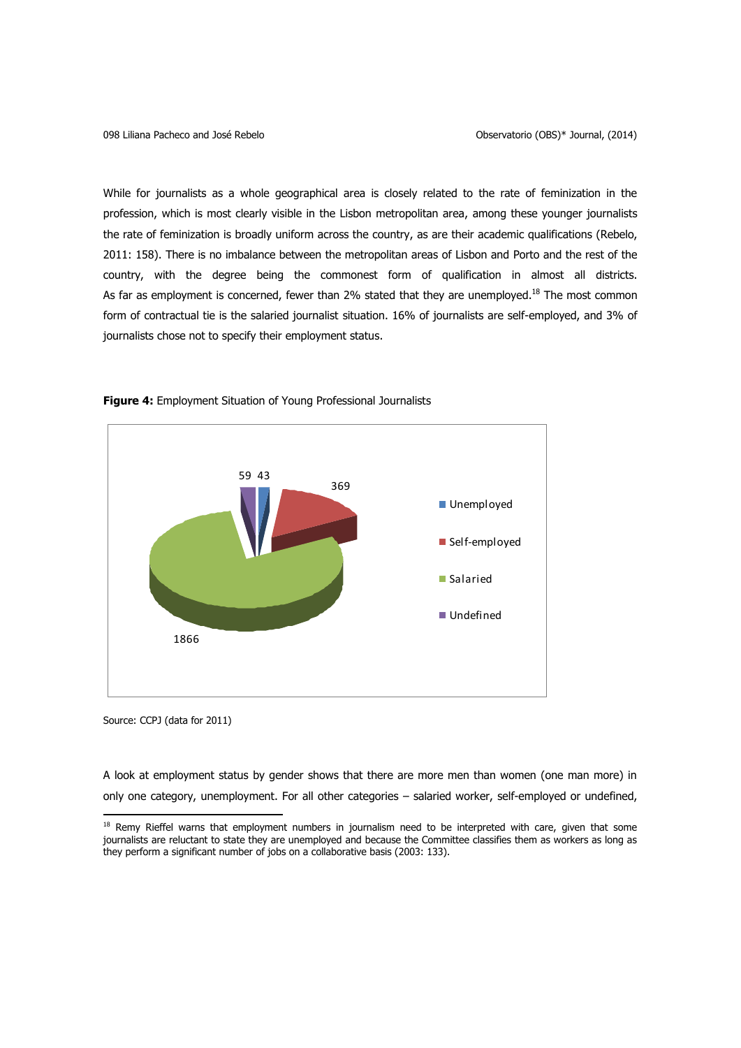While for journalists as a whole geographical area is closely related to the rate of feminization in the profession, which is most clearly visible in the Lisbon metropolitan area, among these younger journalists the rate of feminization is broadly uniform across the country, as are their academic qualifications (Rebelo, 2011: 158). There is no imbalance between the metropolitan areas of Lisbon and Porto and the rest of the country, with the degree being the commonest form of qualification in almost all districts. As far as employment is concerned, fewer than 2% stated that they are unemployed.<sup>18</sup> The most common form of contractual tie is the salaried journalist situation. 16% of journalists are self-employed, and 3% of journalists chose not to specify their employment status.



**Figure 4:** Employment Situation of Young Professional Journalists

Source: CCPJ (data for 2011)

 $\overline{\phantom{a}}$ 

A look at employment status by gender shows that there are more men than women (one man more) in only one category, unemployment. For all other categories – salaried worker, self-employed or undefined,

<sup>&</sup>lt;sup>18</sup> Remy Rieffel warns that employment numbers in journalism need to be interpreted with care, given that some journalists are reluctant to state they are unemployed and because the Committee classifies them as workers as long as they perform a significant number of jobs on a collaborative basis (2003: 133).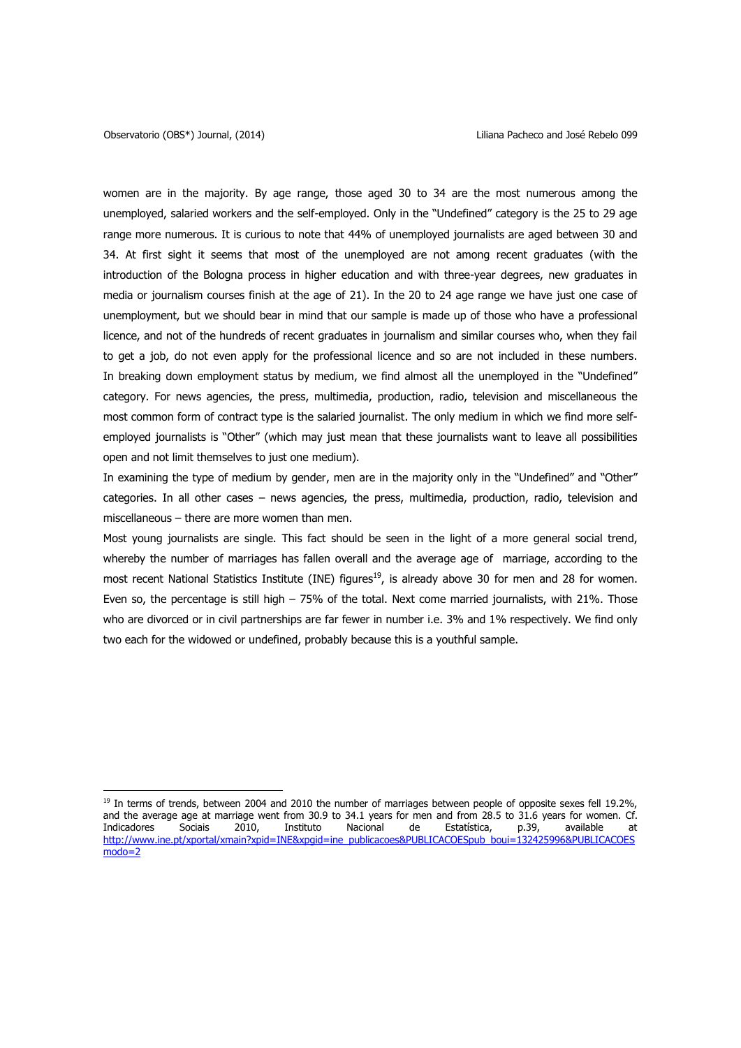$\overline{a}$ 

women are in the majority. By age range, those aged 30 to 34 are the most numerous among the unemployed, salaried workers and the self-employed. Only in the "Undefined" category is the 25 to 29 age range more numerous. It is curious to note that 44% of unemployed journalists are aged between 30 and 34. At first sight it seems that most of the unemployed are not among recent graduates (with the introduction of the Bologna process in higher education and with three-year degrees, new graduates in media or journalism courses finish at the age of 21). In the 20 to 24 age range we have just one case of unemployment, but we should bear in mind that our sample is made up of those who have a professional licence, and not of the hundreds of recent graduates in journalism and similar courses who, when they fail to get a job, do not even apply for the professional licence and so are not included in these numbers. In breaking down employment status by medium, we find almost all the unemployed in the "Undefined" category. For news agencies, the press, multimedia, production, radio, television and miscellaneous the most common form of contract type is the salaried journalist. The only medium in which we find more selfemployed journalists is "Other" (which may just mean that these journalists want to leave all possibilities open and not limit themselves to just one medium).

In examining the type of medium by gender, men are in the majority only in the "Undefined" and "Other" categories. In all other cases – news agencies, the press, multimedia, production, radio, television and miscellaneous – there are more women than men.

Most young journalists are single. This fact should be seen in the light of a more general social trend, whereby the number of marriages has fallen overall and the average age of marriage, according to the most recent National Statistics Institute (INE) figures<sup>19</sup>, is already above 30 for men and 28 for women. Even so, the percentage is still high – 75% of the total. Next come married journalists, with 21%. Those who are divorced or in civil partnerships are far fewer in number i.e. 3% and 1% respectively. We find only two each for the widowed or undefined, probably because this is a youthful sample.

<sup>&</sup>lt;sup>19</sup> In terms of trends, between 2004 and 2010 the number of marriages between people of opposite sexes fell 19.2%, and the average age at marriage went from 30.9 to 34.1 years for men and from 28.5 to 31.6 years for women. Cf. Indicadores Sociais 2010, Instituto Nacional de Estatística, p.39, available at [http://www.ine.pt/xportal/xmain?xpid=INE&xpgid=ine\\_publicacoes&PUBLICACOESpub\\_boui=132425996&PUBLICACOES](http://www.ine.pt/xportal/xmain?xpid=INE&xpgid=ine_publicacoes&PUBLICACOESpub_boui=132425996&PUBLICACOESmodo=2) [modo=2](http://www.ine.pt/xportal/xmain?xpid=INE&xpgid=ine_publicacoes&PUBLICACOESpub_boui=132425996&PUBLICACOESmodo=2)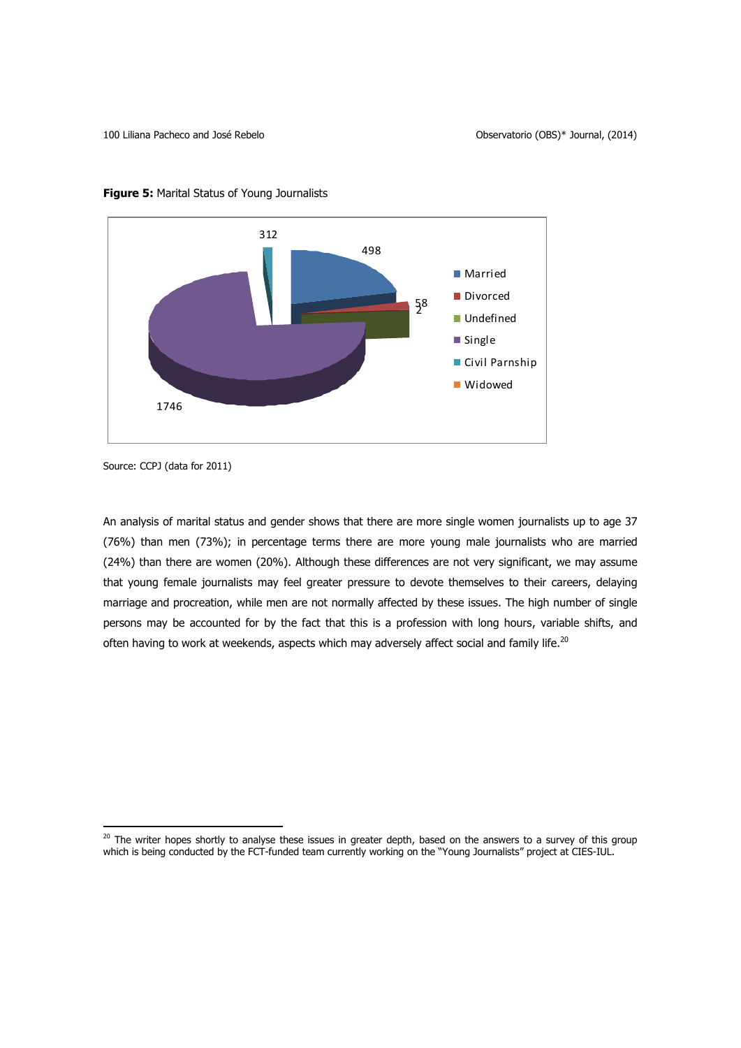

**Figure 5:** Marital Status of Young Journalists

l

An analysis of marital status and gender shows that there are more single women journalists up to age 37 (76%) than men (73%); in percentage terms there are more young male journalists who are married (24%) than there are women (20%). Although these differences are not very significant, we may assume that young female journalists may feel greater pressure to devote themselves to their careers, delaying marriage and procreation, while men are not normally affected by these issues. The high number of single persons may be accounted for by the fact that this is a profession with long hours, variable shifts, and often having to work at weekends, aspects which may adversely affect social and family life. $^{20}$ 

Source: CCPJ (data for 2011)

 $^{20}$  The writer hopes shortly to analyse these issues in greater depth, based on the answers to a survey of this group which is being conducted by the FCT-funded team currently working on the "Young Journalists" project at CIES-IUL.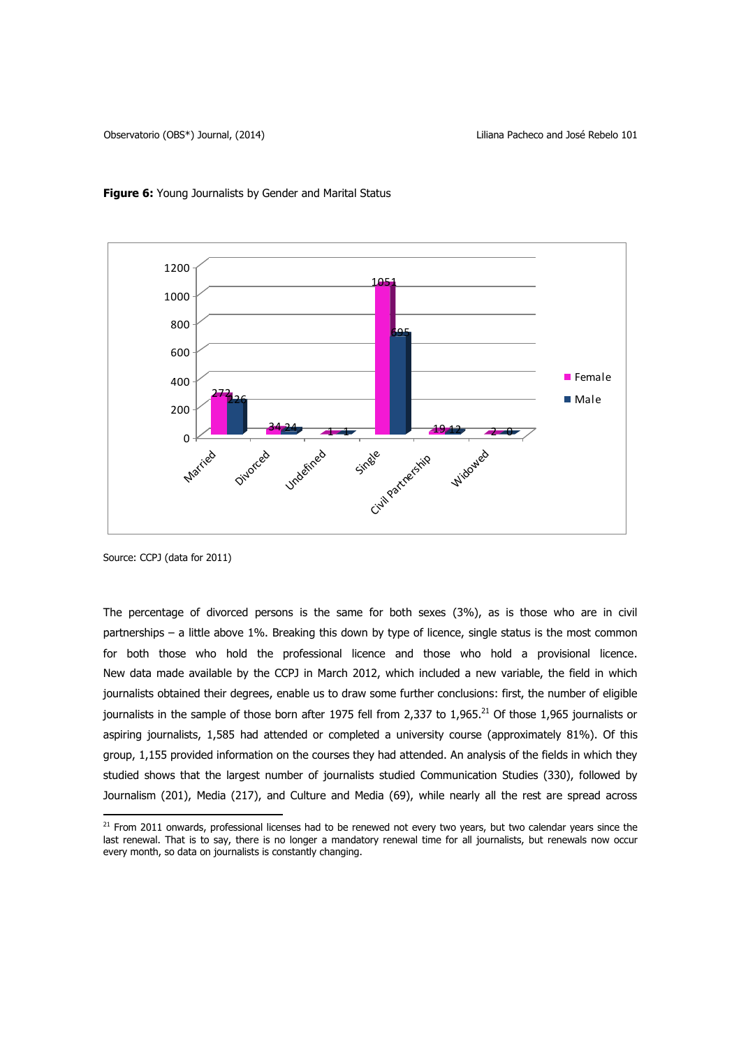



Source: CCPJ (data for 2011)

 $\overline{\phantom{a}}$ 

The percentage of divorced persons is the same for both sexes (3%), as is those who are in civil partnerships – a little above 1%. Breaking this down by type of licence, single status is the most common for both those who hold the professional licence and those who hold a provisional licence. New data made available by the CCPJ in March 2012, which included a new variable, the field in which journalists obtained their degrees, enable us to draw some further conclusions: first, the number of eligible journalists in the sample of those born after 1975 fell from 2,337 to 1,965.<sup>21</sup> Of those 1,965 journalists or aspiring journalists, 1,585 had attended or completed a university course (approximately 81%). Of this group, 1,155 provided information on the courses they had attended. An analysis of the fields in which they studied shows that the largest number of journalists studied Communication Studies (330), followed by Journalism (201), Media (217), and Culture and Media (69), while nearly all the rest are spread across

 $21$  From 2011 onwards, professional licenses had to be renewed not every two years, but two calendar years since the last renewal. That is to say, there is no longer a mandatory renewal time for all journalists, but renewals now occur every month, so data on journalists is constantly changing.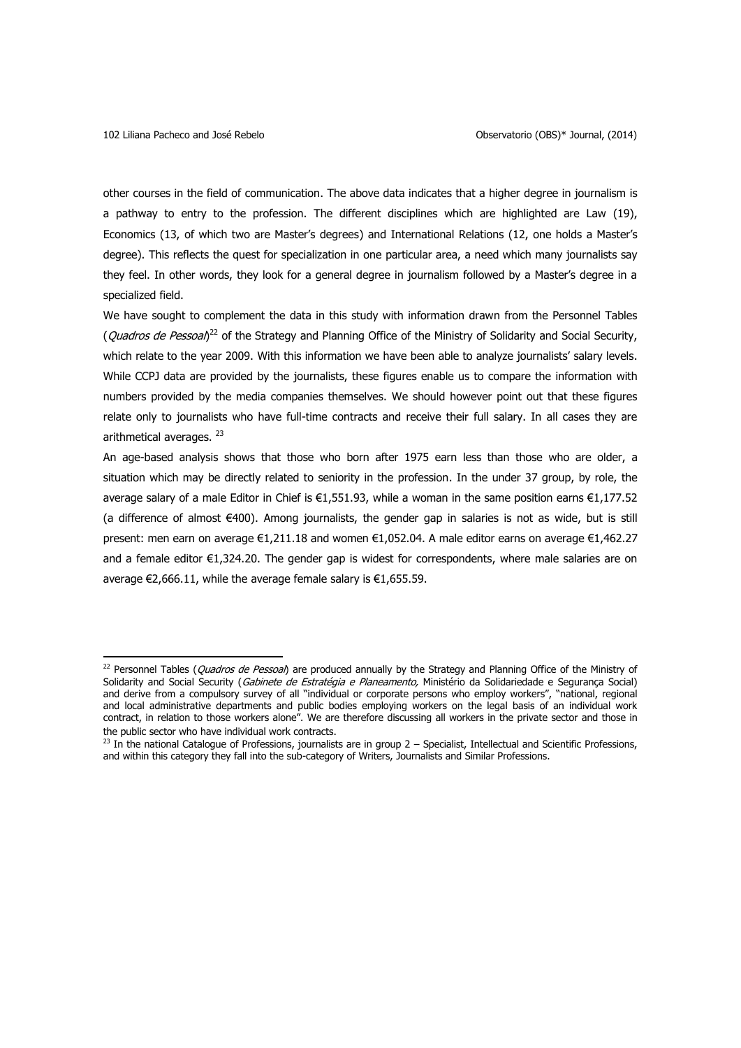$\overline{a}$ 

other courses in the field of communication. The above data indicates that a higher degree in journalism is a pathway to entry to the profession. The different disciplines which are highlighted are Law (19), Economics (13, of which two are Master's degrees) and International Relations (12, one holds a Master's degree). This reflects the quest for specialization in one particular area, a need which many journalists say they feel. In other words, they look for a general degree in journalism followed by a Master's degree in a specialized field.

We have sought to complement the data in this study with information drawn from the Personnel Tables (*Quadros de Pessoal*)<sup>22</sup> of the Strategy and Planning Office of the Ministry of Solidarity and Social Security, which relate to the year 2009. With this information we have been able to analyze journalists' salary levels. While CCPJ data are provided by the journalists, these figures enable us to compare the information with numbers provided by the media companies themselves. We should however point out that these figures relate only to journalists who have full-time contracts and receive their full salary. In all cases they are arithmetical averages. <sup>23</sup>

An age-based analysis shows that those who born after 1975 earn less than those who are older, a situation which may be directly related to seniority in the profession. In the under 37 group, by role, the average salary of a male Editor in Chief is €1,551.93, while a woman in the same position earns €1,177.52 (a difference of almost €400). Among journalists, the gender gap in salaries is not as wide, but is still present: men earn on average €1,211.18 and women €1,052.04. A male editor earns on average €1,462.27 and a female editor €1,324.20. The gender gap is widest for correspondents, where male salaries are on average €2,666.11, while the average female salary is €1,655.59.

<sup>&</sup>lt;sup>22</sup> Personnel Tables (*Quadros de Pessoal*) are produced annually by the Strategy and Planning Office of the Ministry of Solidarity and Social Security (Gabinete de Estratégia e Planeamento, Ministério da Solidariedade e Segurança Social) and derive from a compulsory survey of all "individual or corporate persons who employ workers", "national, regional and local administrative departments and public bodies employing workers on the legal basis of an individual work contract, in relation to those workers alone". We are therefore discussing all workers in the private sector and those in the public sector who have individual work contracts.

 $^{23}$  In the national Catalogue of Professions, journalists are in group 2 – Specialist, Intellectual and Scientific Professions, and within this category they fall into the sub-category of Writers, Journalists and Similar Professions.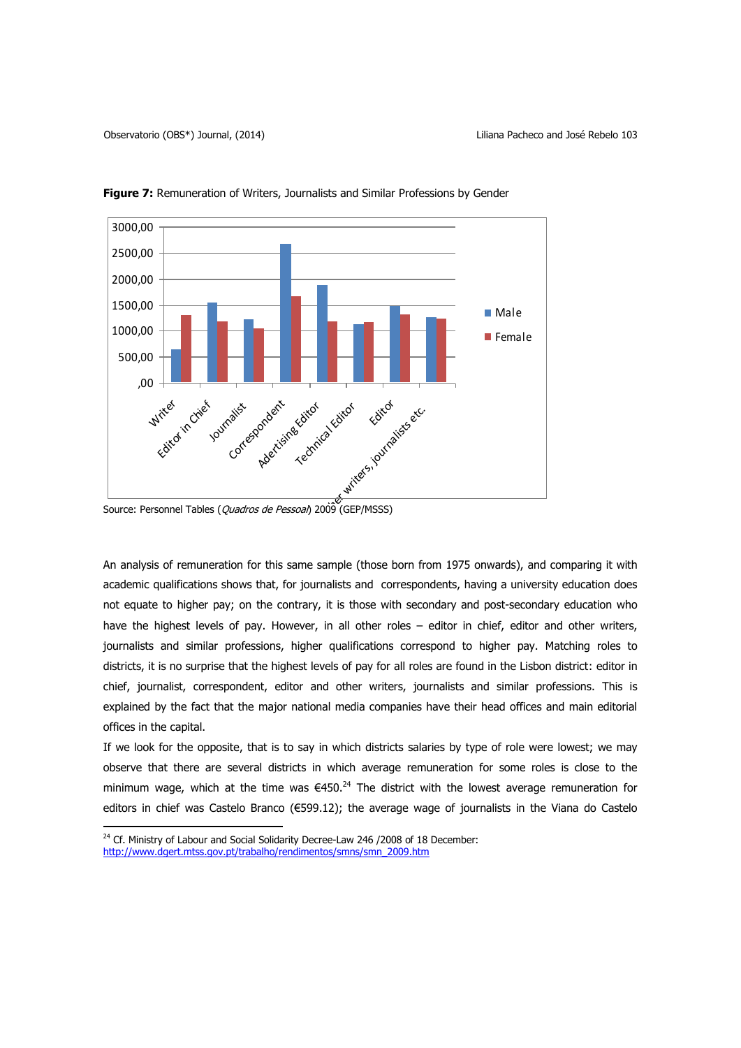

**Figure 7:** Remuneration of Writers, Journalists and Similar Professions by Gender

Source: Personnel Tables (*Quadros de Pessoal*) 2009 (GEP/MSSS)

An analysis of remuneration for this same sample (those born from 1975 onwards), and comparing it with academic qualifications shows that, for journalists and correspondents, having a university education does not equate to higher pay; on the contrary, it is those with secondary and post-secondary education who have the highest levels of pay. However, in all other roles – editor in chief, editor and other writers, journalists and similar professions, higher qualifications correspond to higher pay. Matching roles to districts, it is no surprise that the highest levels of pay for all roles are found in the Lisbon district: editor in chief, journalist, correspondent, editor and other writers, journalists and similar professions. This is explained by the fact that the major national media companies have their head offices and main editorial offices in the capital.

If we look for the opposite, that is to say in which districts salaries by type of role were lowest; we may observe that there are several districts in which average remuneration for some roles is close to the minimum wage, which at the time was  $\epsilon$ 450.<sup>24</sup> The district with the lowest average remuneration for editors in chief was Castelo Branco (€599.12); the average wage of journalists in the Viana do Castelo

l

<sup>&</sup>lt;sup>24</sup> Cf. Ministry of Labour and Social Solidarity Decree-Law 246 /2008 of 18 December: [http://www.dgert.mtss.gov.pt/trabalho/rendimentos/smns/smn\\_2009.htm](http://www.dgert.mtss.gov.pt/trabalho/rendimentos/smns/smn_2009.htm)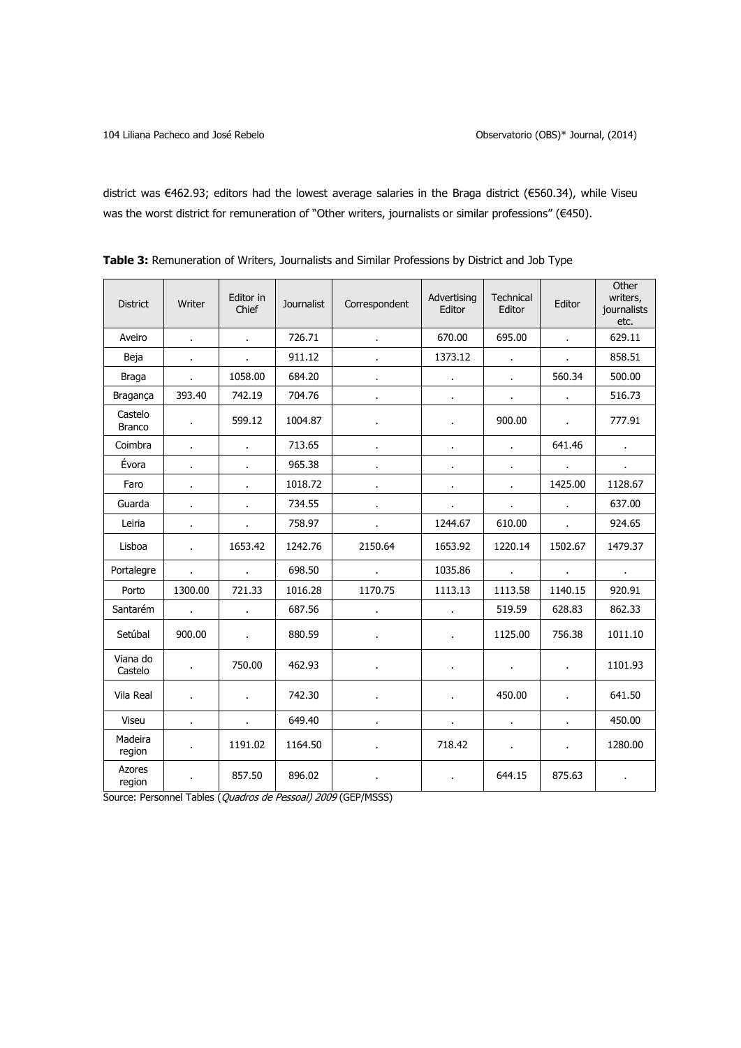district was €462.93; editors had the lowest average salaries in the Braga district (€560.34), while Viseu was the worst district for remuneration of "Other writers, journalists or similar professions" (€450).

| <b>District</b>          | Writer         | Editor in<br>Chief | <b>Journalist</b> | Correspondent  | Advertising<br>Editor | <b>Technical</b><br>Editor | Editor       | Other<br>writers,<br>journalists<br>etc. |
|--------------------------|----------------|--------------------|-------------------|----------------|-----------------------|----------------------------|--------------|------------------------------------------|
| Aveiro                   | $\bullet$      | $\blacksquare$     | 726.71            | $\bullet$      | 670.00                | 695.00                     | $\mathbf{r}$ | 629.11                                   |
| Beja                     | ä,             |                    | 911.12            |                | 1373.12               |                            |              | 858.51                                   |
| Braga                    | ¥.             | 1058.00            | 684.20            | $\blacksquare$ | $\bullet$             | $\mathbf{r}$               | 560.34       | 500.00                                   |
| Bragança                 | 393.40         | 742.19             | 704.76            |                |                       | $\blacksquare$             |              | 516.73                                   |
| Castelo<br><b>Branco</b> | $\epsilon$     | 599.12             | 1004.87           | ä,             | ä,                    | 900.00                     | $\mathbf{r}$ | 777.91                                   |
| Coimbra                  | ×.             |                    | 713.65            | $\blacksquare$ | $\mathbf{r}$          | $\mathbf{r}$               | 641.46       | $\sim$                                   |
| Évora                    |                |                    | 965.38            |                |                       |                            |              |                                          |
| Faro                     | ä,             | ä.                 | 1018.72           | ä,             | $\mathbf{r}$          | ä,                         | 1425.00      | 1128.67                                  |
| Guarda                   | $\mathbf{r}$   |                    | 734.55            | $\mathbf{r}$   | $\mathbf{r}$          | $\mathbf{r}$               | ¥.           | 637.00                                   |
| Leiria                   | $\blacksquare$ | ×,                 | 758.97            | $\bullet$      | 1244.67               | 610.00                     | $\mathbf{r}$ | 924.65                                   |
| Lisboa                   | ä,             | 1653.42            | 1242.76           | 2150.64        | 1653.92               | 1220.14                    | 1502.67      | 1479.37                                  |
| Portalegre               | $\mathbf{r}$   | ÷.                 | 698.50            | $\sim$         | 1035.86               | $\mathbf{r}$               | $\mathbf{r}$ | $\sim 10^{-1}$                           |
| Porto                    | 1300.00        | 721.33             | 1016.28           | 1170.75        | 1113.13               | 1113.58                    | 1140.15      | 920.91                                   |
| Santarém                 |                |                    | 687.56            |                |                       | 519.59                     | 628.83       | 862.33                                   |
| Setúbal                  | 900.00         | $\mathbf{r}$       | 880.59            | $\blacksquare$ | $\blacksquare$        | 1125.00                    | 756.38       | 1011.10                                  |
| Viana do<br>Castelo      | ¥.             | 750.00             | 462.93            | Ĭ.             |                       | $\mathbf{r}$               | ¥.           | 1101.93                                  |
| Vila Real                | $\mathbf{r}$   | ÷.                 | 742.30            |                |                       | 450.00                     | ÷.           | 641.50                                   |
| Viseu                    | $\blacksquare$ | ä,                 | 649.40            |                |                       | $\blacksquare$             |              | 450.00                                   |
| Madeira<br>region        | ä,             | 1191.02            | 1164.50           | ä,             | 718.42                | $\blacksquare$             | $\epsilon$   | 1280.00                                  |
| Azores<br>region         |                | 857.50             | 896.02            |                | $\epsilon$            | 644.15                     | 875.63       |                                          |

**Table 3:** Remuneration of Writers, Journalists and Similar Professions by District and Job Type

Source: Personnel Tables (Quadros de Pessoal) 2009 (GEP/MSSS)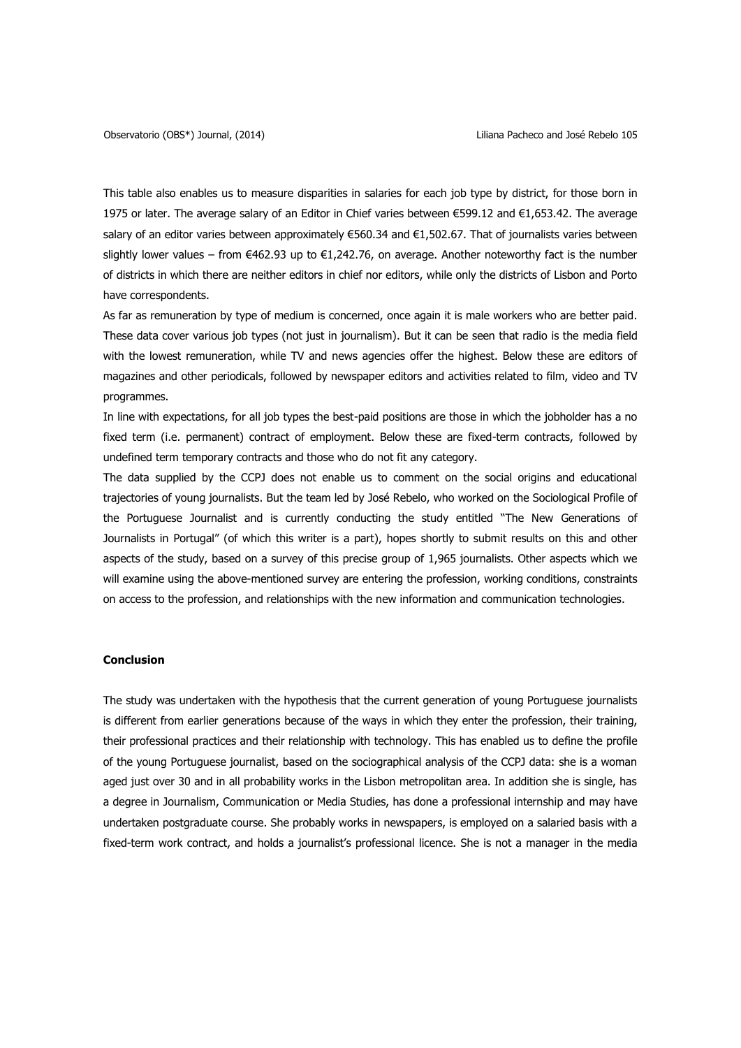This table also enables us to measure disparities in salaries for each job type by district, for those born in 1975 or later. The average salary of an Editor in Chief varies between €599.12 and €1,653.42. The average salary of an editor varies between approximately €560.34 and €1,502.67. That of journalists varies between slightly lower values – from €462.93 up to €1,242.76, on average. Another noteworthy fact is the number of districts in which there are neither editors in chief nor editors, while only the districts of Lisbon and Porto have correspondents.

As far as remuneration by type of medium is concerned, once again it is male workers who are better paid. These data cover various job types (not just in journalism). But it can be seen that radio is the media field with the lowest remuneration, while TV and news agencies offer the highest. Below these are editors of magazines and other periodicals, followed by newspaper editors and activities related to film, video and TV programmes.

In line with expectations, for all job types the best-paid positions are those in which the jobholder has a no fixed term (i.e. permanent) contract of employment. Below these are fixed-term contracts, followed by undefined term temporary contracts and those who do not fit any category.

The data supplied by the CCPJ does not enable us to comment on the social origins and educational trajectories of young journalists. But the team led by José Rebelo, who worked on the Sociological Profile of the Portuguese Journalist and is currently conducting the study entitled "The New Generations of Journalists in Portugal" (of which this writer is a part), hopes shortly to submit results on this and other aspects of the study, based on a survey of this precise group of 1,965 journalists. Other aspects which we will examine using the above-mentioned survey are entering the profession, working conditions, constraints on access to the profession, and relationships with the new information and communication technologies.

## **Conclusion**

The study was undertaken with the hypothesis that the current generation of young Portuguese journalists is different from earlier generations because of the ways in which they enter the profession, their training, their professional practices and their relationship with technology. This has enabled us to define the profile of the young Portuguese journalist, based on the sociographical analysis of the CCPJ data: she is a woman aged just over 30 and in all probability works in the Lisbon metropolitan area. In addition she is single, has a degree in Journalism, Communication or Media Studies, has done a professional internship and may have undertaken postgraduate course. She probably works in newspapers, is employed on a salaried basis with a fixed-term work contract, and holds a journalist's professional licence. She is not a manager in the media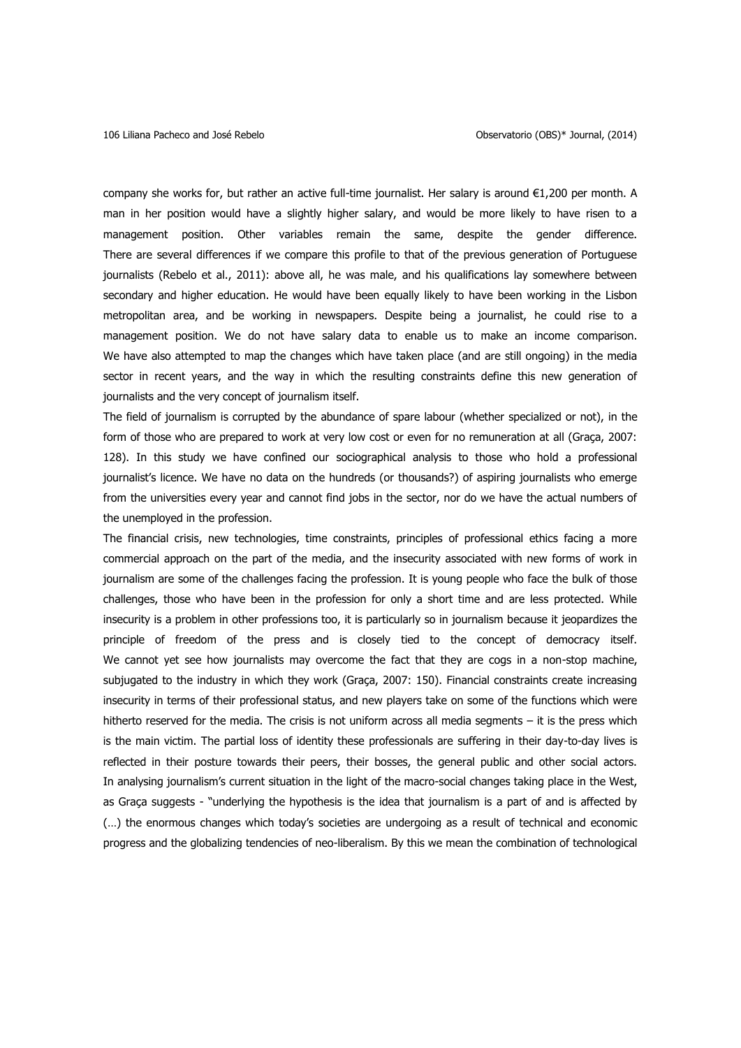company she works for, but rather an active full-time journalist. Her salary is around €1,200 per month. A man in her position would have a slightly higher salary, and would be more likely to have risen to a management position. Other variables remain the same, despite the gender difference. There are several differences if we compare this profile to that of the previous generation of Portuguese journalists (Rebelo et al., 2011): above all, he was male, and his qualifications lay somewhere between secondary and higher education. He would have been equally likely to have been working in the Lisbon metropolitan area, and be working in newspapers. Despite being a journalist, he could rise to a management position. We do not have salary data to enable us to make an income comparison. We have also attempted to map the changes which have taken place (and are still ongoing) in the media sector in recent years, and the way in which the resulting constraints define this new generation of journalists and the very concept of journalism itself.

The field of journalism is corrupted by the abundance of spare labour (whether specialized or not), in the form of those who are prepared to work at very low cost or even for no remuneration at all (Graça, 2007: 128). In this study we have confined our sociographical analysis to those who hold a professional journalist's licence. We have no data on the hundreds (or thousands?) of aspiring journalists who emerge from the universities every year and cannot find jobs in the sector, nor do we have the actual numbers of the unemployed in the profession.

The financial crisis, new technologies, time constraints, principles of professional ethics facing a more commercial approach on the part of the media, and the insecurity associated with new forms of work in journalism are some of the challenges facing the profession. It is young people who face the bulk of those challenges, those who have been in the profession for only a short time and are less protected. While insecurity is a problem in other professions too, it is particularly so in journalism because it jeopardizes the principle of freedom of the press and is closely tied to the concept of democracy itself. We cannot yet see how journalists may overcome the fact that they are cogs in a non-stop machine, subjugated to the industry in which they work (Graça, 2007: 150). Financial constraints create increasing insecurity in terms of their professional status, and new players take on some of the functions which were hitherto reserved for the media. The crisis is not uniform across all media segments – it is the press which is the main victim. The partial loss of identity these professionals are suffering in their day-to-day lives is reflected in their posture towards their peers, their bosses, the general public and other social actors. In analysing journalism's current situation in the light of the macro-social changes taking place in the West, as Graça suggests - "underlying the hypothesis is the idea that journalism is a part of and is affected by (…) the enormous changes which today's societies are undergoing as a result of technical and economic progress and the globalizing tendencies of neo-liberalism. By this we mean the combination of technological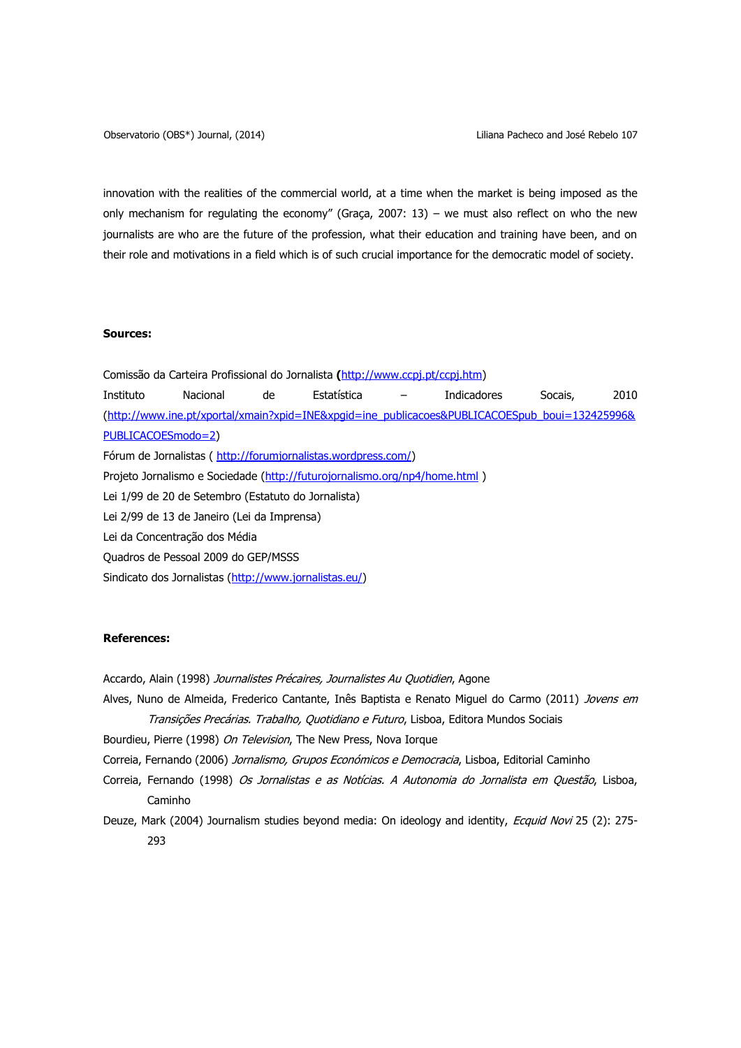innovation with the realities of the commercial world, at a time when the market is being imposed as the only mechanism for regulating the economy" (Graça, 2007: 13) – we must also reflect on who the new journalists are who are the future of the profession, what their education and training have been, and on their role and motivations in a field which is of such crucial importance for the democratic model of society.

# **Sources:**

Comissão da Carteira Profissional do Jornalista **(**[http://www.ccpj.pt/ccpj.htm\)](http://www.ccpj.pt/ccpj.htm) Instituto Nacional de Estatística – Indicadores Socais, 2010 [\(http://www.ine.pt/xportal/xmain?xpid=INE&xpgid=ine\\_publicacoes&PUBLICACOESpub\\_boui=132425996&](http://www.ine.pt/xportal/xmain?xpid=INE&xpgid=ine_publicacoes&PUBLICACOESpub_boui=132425996&PUBLICACOESmodo=2) [PUBLICACOESmodo=2\)](http://www.ine.pt/xportal/xmain?xpid=INE&xpgid=ine_publicacoes&PUBLICACOESpub_boui=132425996&PUBLICACOESmodo=2) Fórum de Jornalistas ( [http://forumjornalistas.wordpress.com/\)](http://forumjornalistas.wordpress.com/) Projeto Jornalismo e Sociedade [\(http://futurojornalismo.org/np4/home.html](http://futurojornalismo.org/np4/home.html)) Lei 1/99 de 20 de Setembro (Estatuto do Jornalista) Lei 2/99 de 13 de Janeiro (Lei da Imprensa) Lei da Concentração dos Média Quadros de Pessoal 2009 do GEP/MSSS Sindicato dos Jornalistas [\(http://www.jornalistas.eu/\)](http://www.jornalistas.eu/)

### **References:**

Accardo, Alain (1998) Journalistes Précaires, Journalistes Au Quotidien, Agone

- Alves, Nuno de Almeida, Frederico Cantante, Inês Baptista e Renato Miguel do Carmo (2011) Jovens em Transições Precárias. Trabalho, Quotidiano e Futuro, Lisboa, Editora Mundos Sociais
- Bourdieu, Pierre (1998) On Television, The New Press, Nova Iorque
- Correia, Fernando (2006) Jornalismo, Grupos Económicos e Democracia, Lisboa, Editorial Caminho
- Correia, Fernando (1998) Os Jornalistas e as Notícias. A Autonomia do Jornalista em Questão, Lisboa, Caminho
- Deuze, Mark (2004) Journalism studies beyond media: On ideology and identity, Ecquid Novi 25 (2): 275-293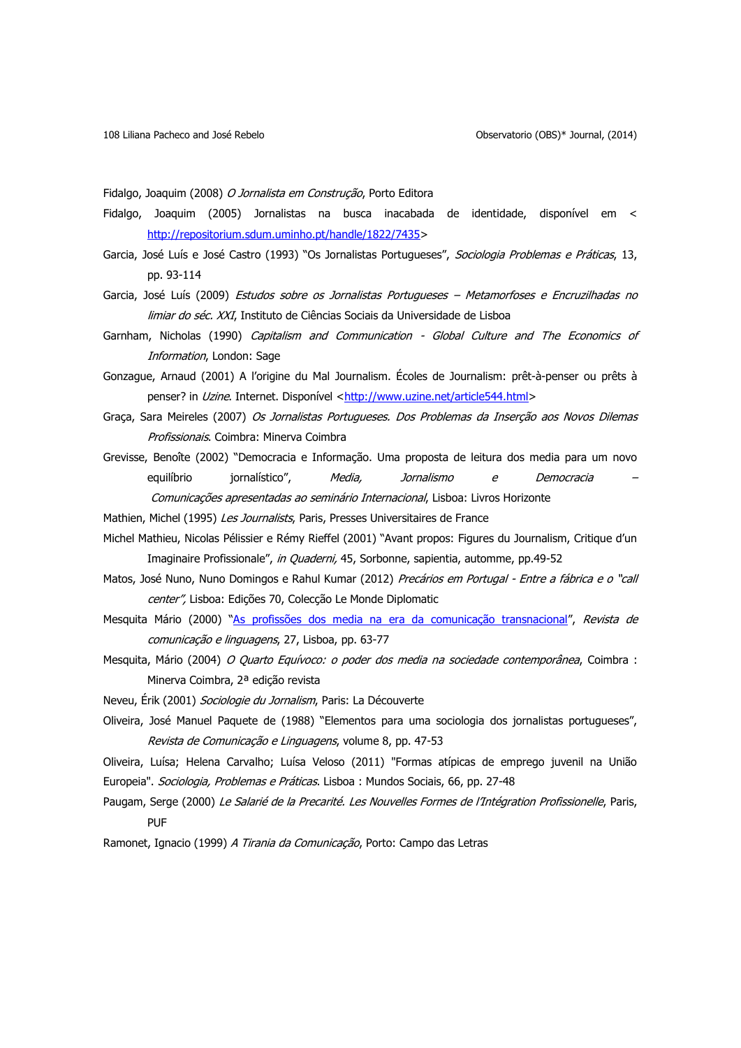Fidalgo, Joaquim (2008) O Jornalista em Construção, Porto Editora

- Fidalgo, Joaquim (2005) Jornalistas na busca inacabada de identidade, disponível em < [http://repositorium.sdum.uminho.pt/handle/1822/7435>](http://repositorium.sdum.uminho.pt/handle/1822/7435)
- Garcia, José Luís e José Castro (1993) "Os Jornalistas Portugueses", Sociologia Problemas e Práticas, 13, pp. 93-114
- Garcia, José Luís (2009) Estudos sobre os Jornalistas Portugueses Metamorfoses e Encruzilhadas no limiar do séc. XXI, Instituto de Ciências Sociais da Universidade de Lisboa
- Garnham, Nicholas (1990) Capitalism and Communication Global Culture and The Economics of Information, London: Sage
- Gonzague, Arnaud (2001) A l'origine du Mal Journalism. Écoles de Journalism: prêt-à-penser ou prêts à penser? in Uzine. Internet. Disponível [<http://www.uzine.net/article544.html>](http://www.uzine.net/article544.html)
- Graça, Sara Meireles (2007) Os Jornalistas Portugueses. Dos Problemas da Inserção aos Novos Dilemas Profissionais. Coimbra: Minerva Coimbra
- Grevisse, Benoîte (2002) "Democracia e Informação. Uma proposta de leitura dos media para um novo equilíbrio iornalístico", Media, Jornalismo e Democracia Comunicações apresentadas ao seminário Internacional, Lisboa: Livros Horizonte
- Mathien, Michel (1995) Les Journalists, Paris, Presses Universitaires de France
- Michel Mathieu, Nicolas Pélissier e Rémy Rieffel (2001) "Avant propos: Figures du Journalism, Critique d'un Imaginaire Profissionale", in Quaderni, 45, Sorbonne, sapientia, automme, pp.49-52
- Matos, José Nuno, Nuno Domingos e Rahul Kumar (2012) Precários em Portugal Entre a fábrica e o "call center", Lisboa: Edições 70, Colecção Le Monde Diplomatic
- Mesquita Mário (2000) "[As profissões dos media na era da comunicação transnacional](http://catalogolx.cm-lisboa.pt/ipac20/ipac.jsp?session=13297R00C650V.45346&profile=rbml&uri=search=TL~!As%20profiss%C3%B5es%20dos%20media%20na%20era%20da%20comunica%C3%A7%C3%A3o%20transnacional&term=As%20profiss%C3%B5es%20dos%20media%20na%20era%20da%20comunica%C3%A7%C3%A3o%20transnacional&aspect=basic_search&menu=search&source=~!rbml)", Revista de comunicação e linguagens, 27, Lisboa, pp. 63-77
- Mesquita, Mário (2004) O Quarto Equívoco: o poder dos media na sociedade contemporânea, Coimbra : Minerva Coimbra, 2ª edição revista
- Neveu, Érik (2001) Sociologie du Jornalism, Paris: La Découverte
- Oliveira, José Manuel Paquete de (1988) "Elementos para uma sociologia dos jornalistas portugueses", Revista de Comunicação e Linguagens, volume 8, pp. 47-53
- Oliveira, Luísa; Helena Carvalho; Luísa Veloso (2011) "Formas atípicas de emprego juvenil na União Europeia". Sociologia, Problemas e Práticas. Lisboa : Mundos Sociais, 66, pp. 27-48
- Paugam, Serge (2000) Le Salarié de la Precarité. Les Nouvelles Formes de l'Intégration Profissionelle, Paris, PUF
- Ramonet, Ignacio (1999) A Tirania da Comunicação, Porto: Campo das Letras